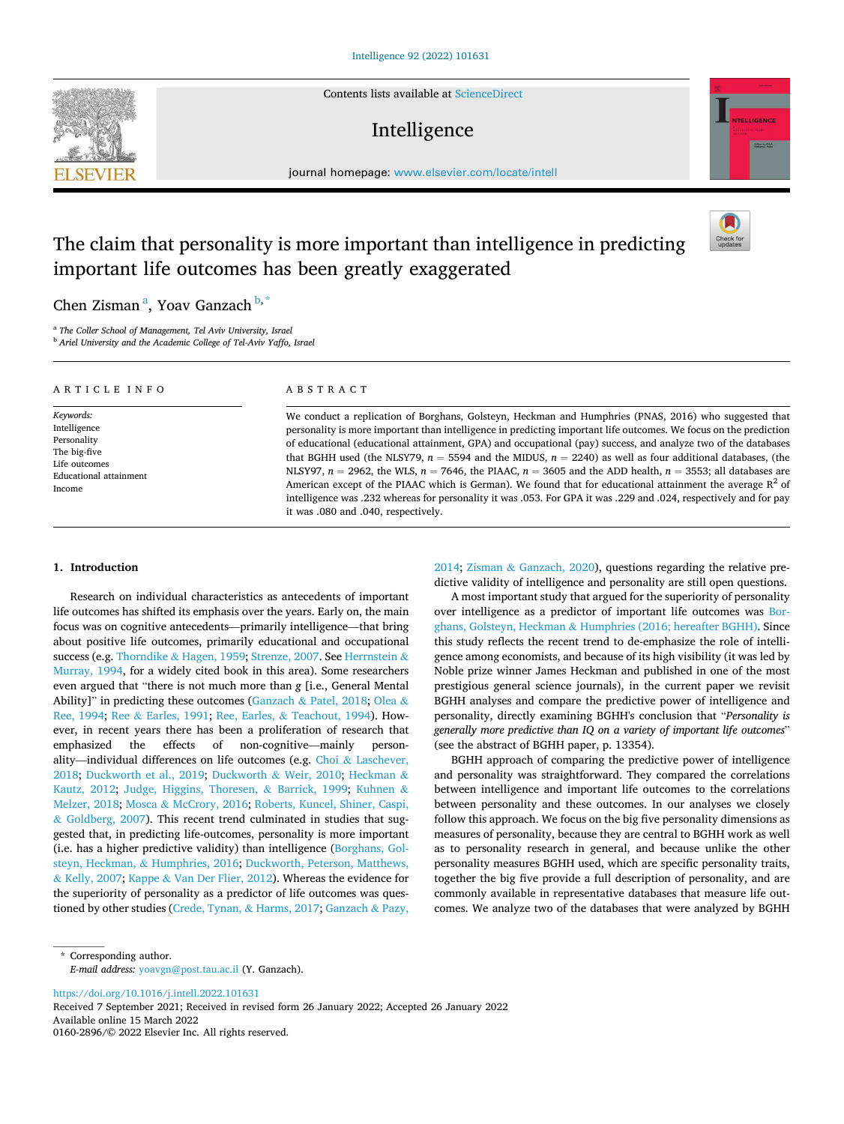Contents lists available at [ScienceDirect](www.sciencedirect.com/science/journal/01602896)

# Intelligence



# The claim that personality is more important than intelligence in predicting important life outcomes has been greatly exaggerated



# Chen Zisman<sup>a</sup>, Yoav Ganzach <sup>b,\*</sup>

**SEVIER** 

<sup>a</sup> The Coller School of Management, Tel Aviv University, Israel

<sup>b</sup> *Ariel University and the Academic College of Tel-Aviv Yaffo, Israel* 

| ARTICLE INFO                                                                                                         | ABSTRACT                                                                                                                                                                                                                                                                                                                                                                                                                                                                                                                                                                                                                                                                                                                                                                                                                                                        |
|----------------------------------------------------------------------------------------------------------------------|-----------------------------------------------------------------------------------------------------------------------------------------------------------------------------------------------------------------------------------------------------------------------------------------------------------------------------------------------------------------------------------------------------------------------------------------------------------------------------------------------------------------------------------------------------------------------------------------------------------------------------------------------------------------------------------------------------------------------------------------------------------------------------------------------------------------------------------------------------------------|
| Keywords:<br>Intelligence<br>Personality<br>The big-five<br>Life outcomes<br><b>Educational attainment</b><br>Income | We conduct a replication of Borghans, Golsteyn, Heckman and Humphries (PNAS, 2016) who suggested that<br>personality is more important than intelligence in predicting important life outcomes. We focus on the prediction<br>of educational (educational attainment, GPA) and occupational (pay) success, and analyze two of the databases<br>that BGHH used (the NLSY79, $n = 5594$ and the MIDUS, $n = 2240$ ) as well as four additional databases, (the<br>NLSY97, $n = 2962$ , the WLS, $n = 7646$ , the PIAAC, $n = 3605$ and the ADD health, $n = 3553$ ; all databases are<br>American except of the PIAAC which is German). We found that for educational attainment the average $R^2$ of<br>intelligence was .232 whereas for personality it was .053. For GPA it was .229 and .024, respectively and for pay<br>it was .080 and .040, respectively. |

# **1. Introduction**

Research on individual characteristics as antecedents of important life outcomes has shifted its emphasis over the years. Early on, the main focus was on cognitive antecedents—primarily intelligence—that bring about positive life outcomes, primarily educational and occupational success (e.g. Thorndike & [Hagen, 1959](#page-13-0); [Strenze, 2007](#page-13-0). See [Herrnstein](#page-13-0) & [Murray, 1994,](#page-13-0) for a widely cited book in this area). Some researchers even argued that "there is not much more than *g* [i.e., General Mental Ability]" in predicting these outcomes (Ganzach & [Patel, 2018](#page-13-0); [Olea](#page-13-0) & [Ree, 1994;](#page-13-0) Ree & [Earles, 1991;](#page-13-0) Ree, Earles, & [Teachout, 1994\)](#page-13-0). However, in recent years there has been a proliferation of research that emphasized the effects of non-cognitive—mainly personality—individual differences on life outcomes (e.g. Choi & [Laschever,](#page-12-0)  [2018;](#page-12-0) [Duckworth et al., 2019](#page-12-0); [Duckworth](#page-12-0) & Weir, 2010; [Heckman](#page-13-0) & [Kautz, 2012;](#page-13-0) [Judge, Higgins, Thoresen,](#page-13-0) & Barrick, 1999; [Kuhnen](#page-13-0) & [Melzer, 2018](#page-13-0); Mosca & [McCrory, 2016](#page-13-0); [Roberts, Kuncel, Shiner, Caspi,](#page-13-0)  & [Goldberg, 2007\)](#page-13-0). This recent trend culminated in studies that suggested that, in predicting life-outcomes, personality is more important (i.e. has a higher predictive validity) than intelligence [\(Borghans, Gol](#page-12-0)steyn, Heckman, & [Humphries, 2016; Duckworth, Peterson, Matthews,](#page-12-0)  & [Kelly, 2007](#page-12-0); Kappe & [Van Der Flier, 2012](#page-13-0)). Whereas the evidence for the superiority of personality as a predictor of life outcomes was questioned by other studies [\(Crede, Tynan,](#page-12-0) & Harms, 2017; [Ganzach](#page-13-0) & Pazy,

[2014;](#page-13-0) Zisman & [Ganzach, 2020\)](#page-13-0), questions regarding the relative predictive validity of intelligence and personality are still open questions.

A most important study that argued for the superiority of personality over intelligence as a predictor of important life outcomes was [Bor](#page-12-0)ghans, Golsteyn, Heckman & [Humphries \(2016; hereafter BGHH\).](#page-12-0) Since this study reflects the recent trend to de-emphasize the role of intelligence among economists, and because of its high visibility (it was led by Noble prize winner James Heckman and published in one of the most prestigious general science journals), in the current paper we revisit BGHH analyses and compare the predictive power of intelligence and personality, directly examining BGHH's conclusion that "*Personality is generally more predictive than IQ on a variety of important life outcomes*" (see the abstract of BGHH paper, p. 13354).

BGHH approach of comparing the predictive power of intelligence and personality was straightforward. They compared the correlations between intelligence and important life outcomes to the correlations between personality and these outcomes. In our analyses we closely follow this approach. We focus on the big five personality dimensions as measures of personality, because they are central to BGHH work as well as to personality research in general, and because unlike the other personality measures BGHH used, which are specific personality traits, together the big five provide a full description of personality, and are commonly available in representative databases that measure life outcomes. We analyze two of the databases that were analyzed by BGHH

<https://doi.org/10.1016/j.intell.2022.101631>

Available online 15 March 2022 0160-2896/© 2022 Elsevier Inc. All rights reserved. Received 7 September 2021; Received in revised form 26 January 2022; Accepted 26 January 2022

<sup>\*</sup> Corresponding author. *E-mail address:* [yoavgn@post.tau.ac.il](mailto:yoavgn@post.tau.ac.il) (Y. Ganzach).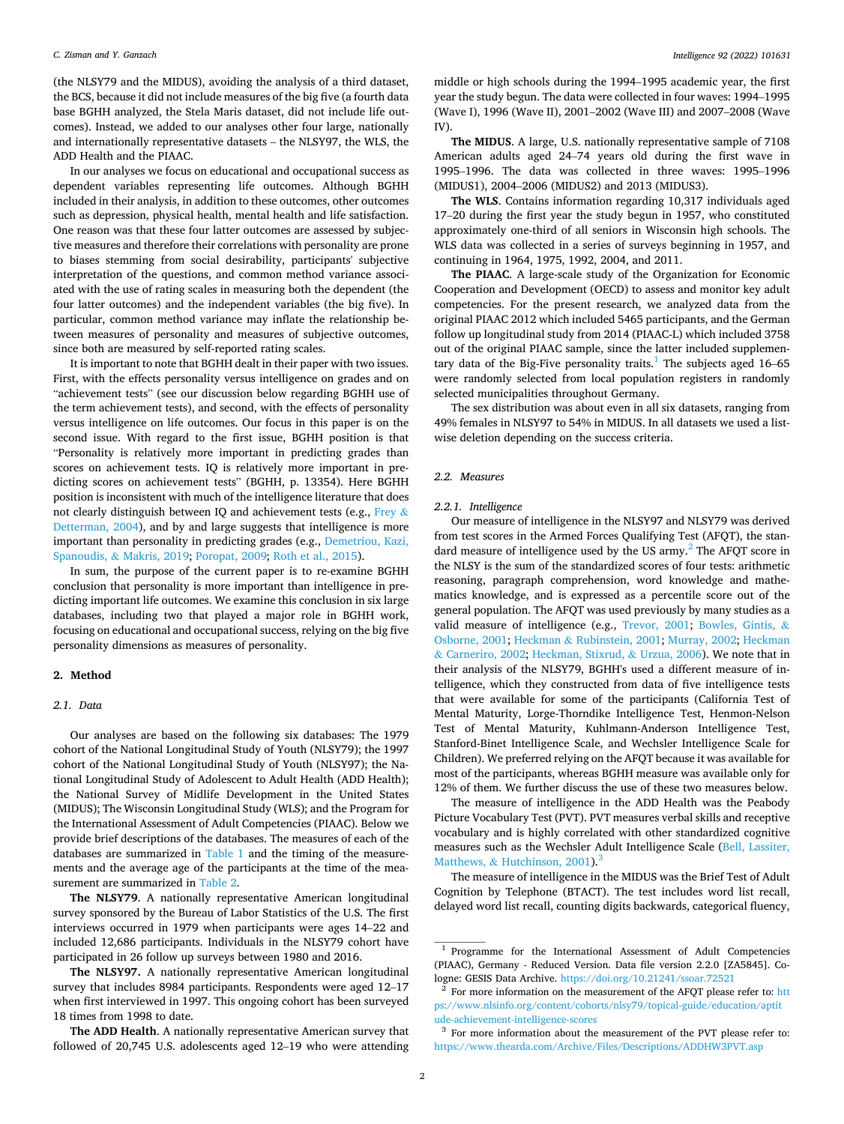(the NLSY79 and the MIDUS), avoiding the analysis of a third dataset, the BCS, because it did not include measures of the big five (a fourth data base BGHH analyzed, the Stela Maris dataset, did not include life outcomes). Instead, we added to our analyses other four large, nationally and internationally representative datasets – the NLSY97, the WLS, the ADD Health and the PIAAC.

In our analyses we focus on educational and occupational success as dependent variables representing life outcomes. Although BGHH included in their analysis, in addition to these outcomes, other outcomes such as depression, physical health, mental health and life satisfaction. One reason was that these four latter outcomes are assessed by subjective measures and therefore their correlations with personality are prone to biases stemming from social desirability, participants' subjective interpretation of the questions, and common method variance associated with the use of rating scales in measuring both the dependent (the four latter outcomes) and the independent variables (the big five). In particular, common method variance may inflate the relationship between measures of personality and measures of subjective outcomes, since both are measured by self-reported rating scales.

It is important to note that BGHH dealt in their paper with two issues. First, with the effects personality versus intelligence on grades and on "achievement tests" (see our discussion below regarding BGHH use of the term achievement tests), and second, with the effects of personality versus intelligence on life outcomes. Our focus in this paper is on the second issue. With regard to the first issue, BGHH position is that "Personality is relatively more important in predicting grades than scores on achievement tests. IQ is relatively more important in predicting scores on achievement tests" (BGHH, p. 13354). Here BGHH position is inconsistent with much of the intelligence literature that does not clearly distinguish between IQ and achievement tests (e.g., [Frey](#page-13-0)  $\&$ [Detterman, 2004\)](#page-13-0), and by and large suggests that intelligence is more important than personality in predicting grades (e.g., [Demetriou, Kazi,](#page-12-0)  Spanoudis, & [Makris, 2019;](#page-12-0) [Poropat, 2009](#page-13-0); [Roth et al., 2015](#page-13-0)).

In sum, the purpose of the current paper is to re-examine BGHH conclusion that personality is more important than intelligence in predicting important life outcomes. We examine this conclusion in six large databases, including two that played a major role in BGHH work, focusing on educational and occupational success, relying on the big five personality dimensions as measures of personality.

## **2. Method**

# *2.1. Data*

Our analyses are based on the following six databases: The 1979 cohort of the National Longitudinal Study of Youth (NLSY79); the 1997 cohort of the National Longitudinal Study of Youth (NLSY97); the National Longitudinal Study of Adolescent to Adult Health (ADD Health); the National Survey of Midlife Development in the United States (MIDUS); The Wisconsin Longitudinal Study (WLS); and the Program for the International Assessment of Adult Competencies (PIAAC). Below we provide brief descriptions of the databases. The measures of each of the databases are summarized in [Table 1](#page-2-0) and the timing of the measurements and the average age of the participants at the time of the measurement are summarized in [Table 2](#page-2-0).

**The NLSY79**. A nationally representative American longitudinal survey sponsored by the Bureau of Labor Statistics of the U.S. The first interviews occurred in 1979 when participants were ages 14–22 and included 12,686 participants. Individuals in the NLSY79 cohort have participated in 26 follow up surveys between 1980 and 2016.

**The NLSY97.** A nationally representative American longitudinal survey that includes 8984 participants. Respondents were aged 12–17 when first interviewed in 1997. This ongoing cohort has been surveyed 18 times from 1998 to date.

**The ADD Health**. A nationally representative American survey that followed of 20,745 U.S. adolescents aged 12–19 who were attending middle or high schools during the 1994–1995 academic year, the first year the study begun. The data were collected in four waves: 1994–1995 (Wave I), 1996 (Wave II), 2001–2002 (Wave III) and 2007–2008 (Wave IV).

**The MIDUS**. A large, U.S. nationally representative sample of 7108 American adults aged 24–74 years old during the first wave in 1995–1996. The data was collected in three waves: 1995–1996 (MIDUS1), 2004–2006 (MIDUS2) and 2013 (MIDUS3).

**The WLS**. Contains information regarding 10,317 individuals aged 17–20 during the first year the study begun in 1957, who constituted approximately one-third of all seniors in Wisconsin high schools. The WLS data was collected in a series of surveys beginning in 1957, and continuing in 1964, 1975, 1992, 2004, and 2011.

**The PIAAC**. A large-scale study of the Organization for Economic Cooperation and Development (OECD) to assess and monitor key adult competencies. For the present research, we analyzed data from the original PIAAC 2012 which included 5465 participants, and the German follow up longitudinal study from 2014 (PIAAC-L) which included 3758 out of the original PIAAC sample, since the latter included supplementary data of the Big-Five personality traits.<sup>1</sup> The subjects aged 16–65 were randomly selected from local population registers in randomly selected municipalities throughout Germany.

The sex distribution was about even in all six datasets, ranging from 49% females in NLSY97 to 54% in MIDUS. In all datasets we used a listwise deletion depending on the success criteria.

# *2.2. Measures*

#### *2.2.1. Intelligence*

Our measure of intelligence in the NLSY97 and NLSY79 was derived from test scores in the Armed Forces Qualifying Test (AFQT), the standard measure of intelligence used by the US army. $^{2}$  The AFQT score in the NLSY is the sum of the standardized scores of four tests: arithmetic reasoning, paragraph comprehension, word knowledge and mathematics knowledge, and is expressed as a percentile score out of the general population. The AFQT was used previously by many studies as a valid measure of intelligence (e.g., [Trevor, 2001](#page-13-0); [Bowles, Gintis,](#page-12-0) & [Osborne, 2001](#page-12-0); Heckman & [Rubinstein, 2001](#page-13-0); [Murray, 2002](#page-13-0); [Heckman](#page-12-0)  & [Carneriro, 2002](#page-12-0); [Heckman, Stixrud,](#page-13-0) & Urzua, 2006). We note that in their analysis of the NLSY79, BGHH's used a different measure of intelligence, which they constructed from data of five intelligence tests that were available for some of the participants (California Test of Mental Maturity, Lorge-Thorndike Intelligence Test, Henmon-Nelson Test of Mental Maturity, Kuhlmann-Anderson Intelligence Test, Stanford-Binet Intelligence Scale, and Wechsler Intelligence Scale for Children). We preferred relying on the AFQT because it was available for most of the participants, whereas BGHH measure was available only for 12% of them. We further discuss the use of these two measures below.

The measure of intelligence in the ADD Health was the Peabody Picture Vocabulary Test (PVT). PVT measures verbal skills and receptive vocabulary and is highly correlated with other standardized cognitive measures such as the Wechsler Adult Intelligence Scale [\(Bell, Lassiter,](#page-12-0)  Matthews, & Hutchinson,  $2001$ .<sup>3</sup>

The measure of intelligence in the MIDUS was the Brief Test of Adult Cognition by Telephone (BTACT). The test includes word list recall, delayed word list recall, counting digits backwards, categorical fluency,

<sup>&</sup>lt;sup>1</sup> Programme for the International Assessment of Adult Competencies (PIAAC), Germany - Reduced Version. Data file version 2.2.0 [ZA5845]. Cologne: GESIS Data Archive. [https://doi.org/10.21241/ssoar.72521](http://dx.doi.org/10.21241/ssoar.72521) 

 $2$  For more information on the measurement of the AFQT please refer to: htt [ps://www.nlsinfo.org/content/cohorts/nlsy79/topical-guide/education/aptit](https://www.nlsinfo.org/content/cohorts/nlsy79/topical-guide/education/aptitude-achievement-intelligence-scores)  [ude-achievement-intelligence-scores](https://www.nlsinfo.org/content/cohorts/nlsy79/topical-guide/education/aptitude-achievement-intelligence-scores)

 $^3\,$  For more information about the measurement of the PVT please refer to: <https://www.thearda.com/Archive/Files/Descriptions/ADDHW3PVT.asp>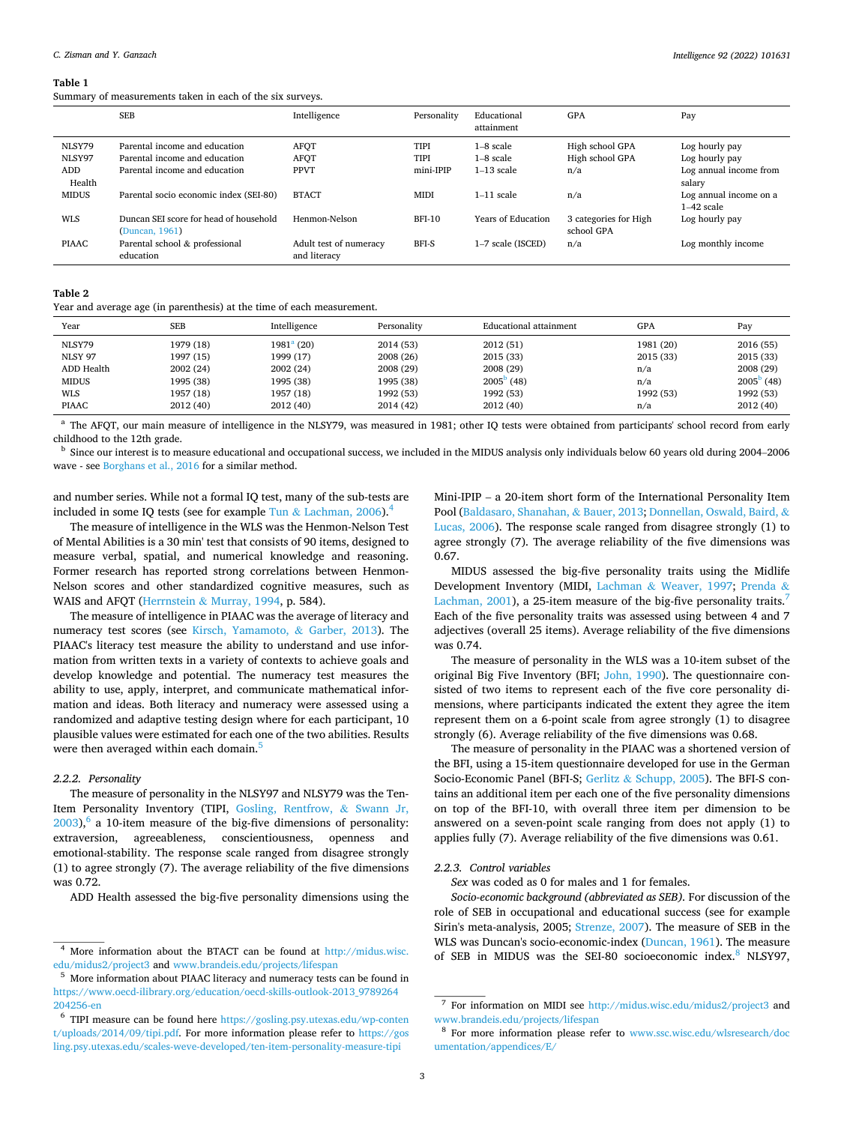#### <span id="page-2-0"></span>**Table 1**

Summary of measurements taken in each of the six surveys.

|                         | <b>SEB</b>                                                     | Intelligence                           | Personality         | Educational<br>attainment  | <b>GPA</b>                          | Pay                                    |
|-------------------------|----------------------------------------------------------------|----------------------------------------|---------------------|----------------------------|-------------------------------------|----------------------------------------|
| <b>NLSY79</b><br>NLSY97 | Parental income and education<br>Parental income and education | <b>AFOT</b><br><b>AFQT</b>             | TIPI<br><b>TIPI</b> | $1-8$ scale<br>$1-8$ scale | High school GPA<br>High school GPA  | Log hourly pay<br>Log hourly pay       |
| <b>ADD</b><br>Health    | Parental income and education                                  | <b>PPVT</b>                            | mini-IPIP           | $1-13$ scale               | n/a                                 | Log annual income from<br>salary       |
| <b>MIDUS</b>            | Parental socio economic index (SEI-80)                         | <b>BTACT</b>                           | <b>MIDI</b>         | $1-11$ scale               | n/a                                 | Log annual income on a<br>$1-42$ scale |
| <b>WLS</b>              | Duncan SEI score for head of household<br>(Duncan, 1961)       | Henmon-Nelson                          | $BFI-10$            | Years of Education         | 3 categories for High<br>school GPA | Log hourly pay                         |
| <b>PIAAC</b>            | Parental school & professional<br>education                    | Adult test of numeracy<br>and literacy | BFI-S               | 1-7 scale (ISCED)          | n/a                                 | Log monthly income                     |

#### **Table 2**

Year and average age (in parenthesis) at the time of each measurement.

| Year           | <b>SEB</b> | Intelligence | Personality | Educational attainment | GPA       | Pay                 |
|----------------|------------|--------------|-------------|------------------------|-----------|---------------------|
| NLSY79         | 1979 (18)  | $1981a$ (20) | 2014 (53)   | 2012 (51)              | 1981 (20) | 2016 (55)           |
| <b>NLSY 97</b> | 1997 (15)  | 1999 (17)    | 2008 (26)   | 2015 (33)              | 2015 (33) | 2015(33)            |
| ADD Health     | 2002(24)   | 2002(24)     | 2008 (29)   | 2008 (29)              | n/a       | 2008 (29)           |
| <b>MIDUS</b>   | 1995 (38)  | 1995 (38)    | 1995 (38)   | $2005^{\rm b}$ (48)    | n/a       | $2005^{\circ}$ (48) |
| <b>WLS</b>     | 1957 (18)  | 1957 (18)    | 1992 (53)   | 1992 (53)              | 1992 (53) | 1992 (53)           |
| <b>PIAAC</b>   | 2012(40)   | 2012(40)     | 2014 (42)   | 2012 (40)              | n/a       | 2012 (40)           |

<sup>a</sup> The AFQT, our main measure of intelligence in the NLSY79, was measured in 1981; other IQ tests were obtained from participants' school record from early childhood to the 12th grade.

<sup>b</sup> Since our interest is to measure educational and occupational success, we included in the MIDUS analysis only individuals below 60 years old during 2004–2006 wave - see [Borghans et al., 2016](#page-12-0) for a similar method.

and number series. While not a formal IQ test, many of the sub-tests are included in some IQ tests (see for example Tun  $&$  [Lachman, 2006](#page-13-0)).<sup>4</sup>

The measure of intelligence in the WLS was the Henmon-Nelson Test of Mental Abilities is a 30 min' test that consists of 90 items, designed to measure verbal, spatial, and numerical knowledge and reasoning. Former research has reported strong correlations between Henmon-Nelson scores and other standardized cognitive measures, such as WAIS and AFQT (Herrnstein & [Murray, 1994,](#page-13-0) p. 584).

The measure of intelligence in PIAAC was the average of literacy and numeracy test scores (see [Kirsch, Yamamoto,](#page-13-0) & Garber, 2013). The PIAAC's literacy test measure the ability to understand and use information from written texts in a variety of contexts to achieve goals and develop knowledge and potential. The numeracy test measures the ability to use, apply, interpret, and communicate mathematical information and ideas. Both literacy and numeracy were assessed using a randomized and adaptive testing design where for each participant, 10 plausible values were estimated for each one of the two abilities. Results were then averaged within each domain.<sup>5</sup>

#### *2.2.2. Personality*

The measure of personality in the NLSY97 and NLSY79 was the Ten-Item Personality Inventory (TIPI, [Gosling, Rentfrow,](#page-13-0) & Swann Jr,  $2003$ ,  $\degree$  a 10-item measure of the big-five dimensions of personality: extraversion, agreeableness, conscientiousness, openness and emotional-stability. The response scale ranged from disagree strongly (1) to agree strongly (7). The average reliability of the five dimensions was 0.72.

ADD Health assessed the big-five personality dimensions using the

Mini-IPIP – a 20-item short form of the International Personality Item Pool ([Baldasaro, Shanahan,](#page-12-0) & Bauer, 2013; [Donnellan, Oswald, Baird,](#page-12-0) & [Lucas, 2006](#page-12-0)). The response scale ranged from disagree strongly (1) to agree strongly (7). The average reliability of the five dimensions was 0.67.

MIDUS assessed the big-five personality traits using the Midlife Development Inventory (MIDI, Lachman & [Weaver, 1997](#page-13-0); [Prenda](#page-13-0) & [Lachman, 2001](#page-13-0)), a 25-item measure of the big-five personality traits.<sup>7</sup> Each of the five personality traits was assessed using between 4 and 7 adjectives (overall 25 items). Average reliability of the five dimensions was 0.74.

The measure of personality in the WLS was a 10-item subset of the original Big Five Inventory (BFI; [John, 1990](#page-13-0)). The questionnaire consisted of two items to represent each of the five core personality dimensions, where participants indicated the extent they agree the item represent them on a 6-point scale from agree strongly (1) to disagree strongly (6). Average reliability of the five dimensions was 0.68.

The measure of personality in the PIAAC was a shortened version of the BFI, using a 15-item questionnaire developed for use in the German Socio-Economic Panel (BFI-S; Gerlitz & [Schupp, 2005\)](#page-13-0). The BFI-S contains an additional item per each one of the five personality dimensions on top of the BFI-10, with overall three item per dimension to be answered on a seven-point scale ranging from does not apply (1) to applies fully (7). Average reliability of the five dimensions was 0.61.

## *2.2.3. Control variables*

*Sex* was coded as 0 for males and 1 for females.

*Socio-economic background (abbreviated as SEB).* For discussion of the role of SEB in occupational and educational success (see for example Sirin's meta-analysis, 2005; [Strenze, 2007\)](#page-13-0). The measure of SEB in the WLS was Duncan's socio-economic-index ([Duncan, 1961](#page-12-0)). The measure of SEB in MIDUS was the SEI-80 socioeconomic index.<sup>8</sup> NLSY97,

<sup>&</sup>lt;sup>4</sup> More information about the BTACT can be found at http://midus.wisc. [edu/midus2/project3](http://midus.wisc.edu/midus2/project3) and [www.brandeis.edu/projects/lifespan](http://www.brandeis.edu/projects/lifespan) 

<sup>&</sup>lt;sup>5</sup> More information about PIAAC literacy and numeracy tests can be found in [https://www.oecd-ilibrary.org/education/oecd-skills-outlook-2013\\_9789264](https://www.oecd-ilibrary.org/education/oecd-skills-outlook-2013_9789264204256-en) [204256-en](https://www.oecd-ilibrary.org/education/oecd-skills-outlook-2013_9789264204256-en) 

<sup>6</sup>TIPI measure can be found here [https://gosling.psy.utexas.edu/wp-conten](https://gosling.psy.utexas.edu/wp-content/uploads/2014/09/tipi.pdf)  [t/uploads/2014/09/tipi.pdf](https://gosling.psy.utexas.edu/wp-content/uploads/2014/09/tipi.pdf). For more information please refer to [https://gos](https://gosling.psy.utexas.edu/scales-weve-developed/ten-item-personality-measure-tipi)  [ling.psy.utexas.edu/scales-weve-developed/ten-item-personality-measure-tipi](https://gosling.psy.utexas.edu/scales-weve-developed/ten-item-personality-measure-tipi)

<sup>7</sup>For information on MIDI see <http://midus.wisc.edu/midus2/project3>and [www.brandeis.edu/projects/lifespan](http://www.brandeis.edu/projects/lifespan) 

<sup>&</sup>lt;sup>8</sup> For more information please refer to www.ssc.wisc.edu/wlsresearch/doc [umentation/appendices/E/](http://www.ssc.wisc.edu/wlsresearch/documentation/appendices/E/)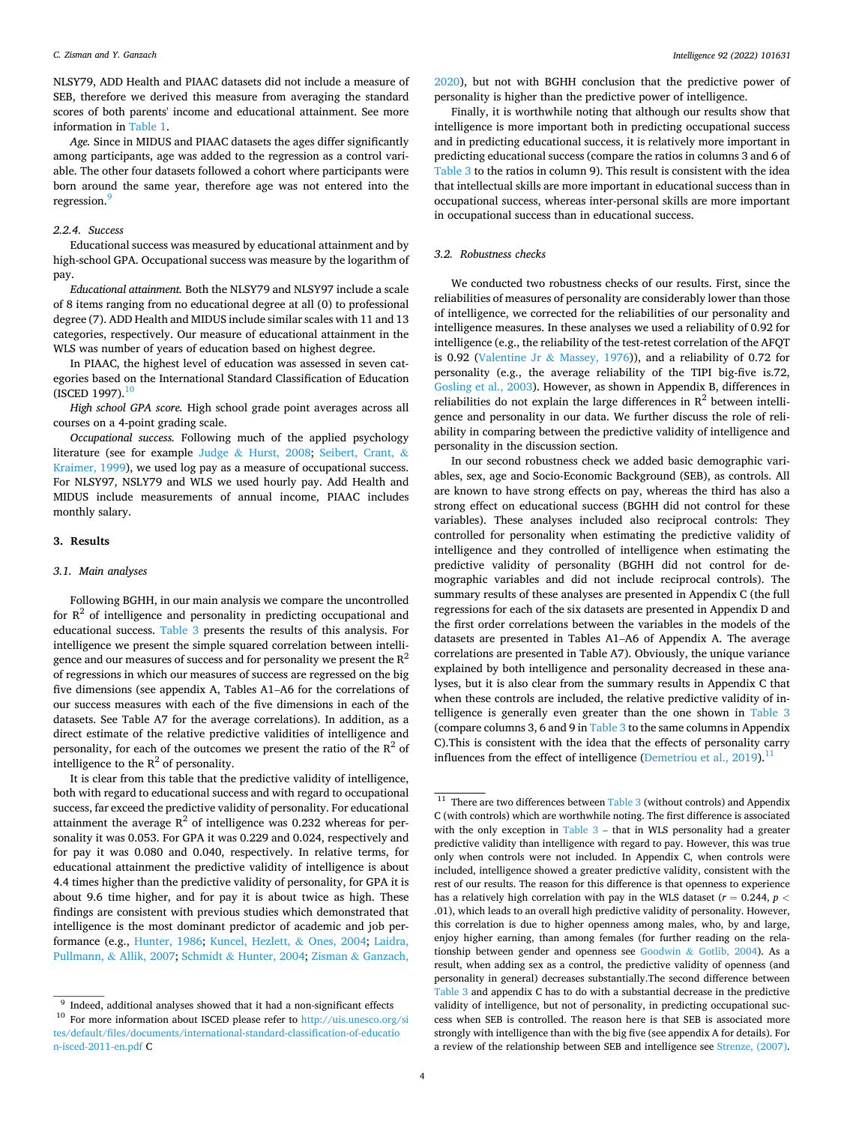NLSY79, ADD Health and PIAAC datasets did not include a measure of SEB, therefore we derived this measure from averaging the standard scores of both parents' income and educational attainment. See more information in [Table 1.](#page-2-0)

*Age.* Since in MIDUS and PIAAC datasets the ages differ significantly among participants, age was added to the regression as a control variable. The other four datasets followed a cohort where participants were born around the same year, therefore age was not entered into the regression.<sup>9</sup>

# *2.2.4. Success*

Educational success was measured by educational attainment and by high-school GPA. Occupational success was measure by the logarithm of pay.

*Educational attainment.* Both the NLSY79 and NLSY97 include a scale of 8 items ranging from no educational degree at all (0) to professional degree (7). ADD Health and MIDUS include similar scales with 11 and 13 categories, respectively. Our measure of educational attainment in the WLS was number of years of education based on highest degree.

In PIAAC, the highest level of education was assessed in seven categories based on the International Standard Classification of Education  $($ ISCED 1997 $).$ <sup>10</sup>

*High school GPA score.* High school grade point averages across all courses on a 4-point grading scale.

*Occupational success.* Following much of the applied psychology literature (see for example Judge & [Hurst, 2008](#page-13-0); [Seibert, Crant,](#page-13-0) & [Kraimer, 1999\)](#page-13-0), we used log pay as a measure of occupational success. For NLSY97, NSLY79 and WLS we used hourly pay. Add Health and MIDUS include measurements of annual income, PIAAC includes monthly salary.

#### **3. Results**

#### *3.1. Main analyses*

Following BGHH, in our main analysis we compare the uncontrolled for  $R^2$  of intelligence and personality in predicting occupational and educational success. [Table 3](#page-4-0) presents the results of this analysis. For intelligence we present the simple squared correlation between intelligence and our measures of success and for personality we present the  $R^2$ of regressions in which our measures of success are regressed on the big five dimensions (see appendix A, Tables A1–A6 for the correlations of our success measures with each of the five dimensions in each of the datasets. See Table A7 for the average correlations). In addition, as a direct estimate of the relative predictive validities of intelligence and personality, for each of the outcomes we present the ratio of the  $R^2$  of intelligence to the  $R^2$  of personality.

It is clear from this table that the predictive validity of intelligence, both with regard to educational success and with regard to occupational success, far exceed the predictive validity of personality. For educational attainment the average  $R^2$  of intelligence was 0.232 whereas for personality it was 0.053. For GPA it was 0.229 and 0.024, respectively and for pay it was 0.080 and 0.040, respectively. In relative terms, for educational attainment the predictive validity of intelligence is about 4.4 times higher than the predictive validity of personality, for GPA it is about 9.6 time higher, and for pay it is about twice as high. These findings are consistent with previous studies which demonstrated that intelligence is the most dominant predictor of academic and job performance (e.g., [Hunter, 1986;](#page-13-0) [Kuncel, Hezlett,](#page-13-0) & Ones, 2004; [Laidra,](#page-13-0)  Pullmann, & [Allik, 2007;](#page-13-0) Schmidt & [Hunter, 2004](#page-13-0); Zisman & [Ganzach,](#page-13-0) 

[2020\)](#page-13-0), but not with BGHH conclusion that the predictive power of personality is higher than the predictive power of intelligence.

Finally, it is worthwhile noting that although our results show that intelligence is more important both in predicting occupational success and in predicting educational success, it is relatively more important in predicting educational success (compare the ratios in columns 3 and 6 of [Table 3](#page-4-0) to the ratios in column 9). This result is consistent with the idea that intellectual skills are more important in educational success than in occupational success, whereas inter-personal skills are more important in occupational success than in educational success.

## *3.2. Robustness checks*

We conducted two robustness checks of our results. First, since the reliabilities of measures of personality are considerably lower than those of intelligence, we corrected for the reliabilities of our personality and intelligence measures. In these analyses we used a reliability of 0.92 for intelligence (e.g., the reliability of the test-retest correlation of the AFQT is 0.92 (Valentine Jr & [Massey, 1976](#page-13-0))), and a reliability of 0.72 for personality (e.g., the average reliability of the TIPI big-five is.72, [Gosling et al., 2003\)](#page-13-0). However, as shown in Appendix B, differences in reliabilities do not explain the large differences in  $R^2$  between intelligence and personality in our data. We further discuss the role of reliability in comparing between the predictive validity of intelligence and personality in the discussion section.

In our second robustness check we added basic demographic variables, sex, age and Socio-Economic Background (SEB), as controls. All are known to have strong effects on pay, whereas the third has also a strong effect on educational success (BGHH did not control for these variables). These analyses included also reciprocal controls: They controlled for personality when estimating the predictive validity of intelligence and they controlled of intelligence when estimating the predictive validity of personality (BGHH did not control for demographic variables and did not include reciprocal controls). The summary results of these analyses are presented in Appendix C (the full regressions for each of the six datasets are presented in Appendix D and the first order correlations between the variables in the models of the datasets are presented in Tables A1–A6 of Appendix A. The average correlations are presented in Table A7). Obviously, the unique variance explained by both intelligence and personality decreased in these analyses, but it is also clear from the summary results in Appendix C that when these controls are included, the relative predictive validity of intelligence is generally even greater than the one shown in [Table 3](#page-4-0)  (compare columns 3, 6 and 9 in [Table 3](#page-4-0) to the same columns in Appendix C).This is consistent with the idea that the effects of personality carry influences from the effect of intelligence (Demetriou et al.,  $2019$ ).<sup>11</sup>

 $9$  Indeed, additional analyses showed that it had a non-significant effects

 $^{10}\,$  For more information about ISCED please refer to http://uis.unesco.org/si [tes/default/files/documents/international-standard-classification-of-educatio](http://uis.unesco.org/sites/default/files/documents/international-standard-classification-of-education-isced-2011-en.pdf) [n-isced-2011-en.pdf](http://uis.unesco.org/sites/default/files/documents/international-standard-classification-of-education-isced-2011-en.pdf) C

 $\overline{11}$  There are two differences between [Table 3](#page-4-0) (without controls) and Appendix C (with controls) which are worthwhile noting. The first difference is associated with the only exception in [Table 3](#page-4-0) – that in WLS personality had a greater predictive validity than intelligence with regard to pay. However, this was true only when controls were not included. In Appendix C, when controls were included, intelligence showed a greater predictive validity, consistent with the rest of our results. The reason for this difference is that openness to experience has a relatively high correlation with pay in the WLS dataset (*r* = 0.244, *p <* .01), which leads to an overall high predictive validity of personality. However, this correlation is due to higher openness among males, who, by and large, enjoy higher earning, than among females (for further reading on the relationship between gender and openness see Goodwin & [Gotlib, 2004\)](#page-13-0). As a result, when adding sex as a control, the predictive validity of openness (and personality in general) decreases substantially.The second difference between [Table 3](#page-4-0) and appendix C has to do with a substantial decrease in the predictive validity of intelligence, but not of personality, in predicting occupational success when SEB is controlled. The reason here is that SEB is associated more strongly with intelligence than with the big five (see appendix A for details). For a review of the relationship between SEB and intelligence see [Strenze, \(2007\).](#page-13-0)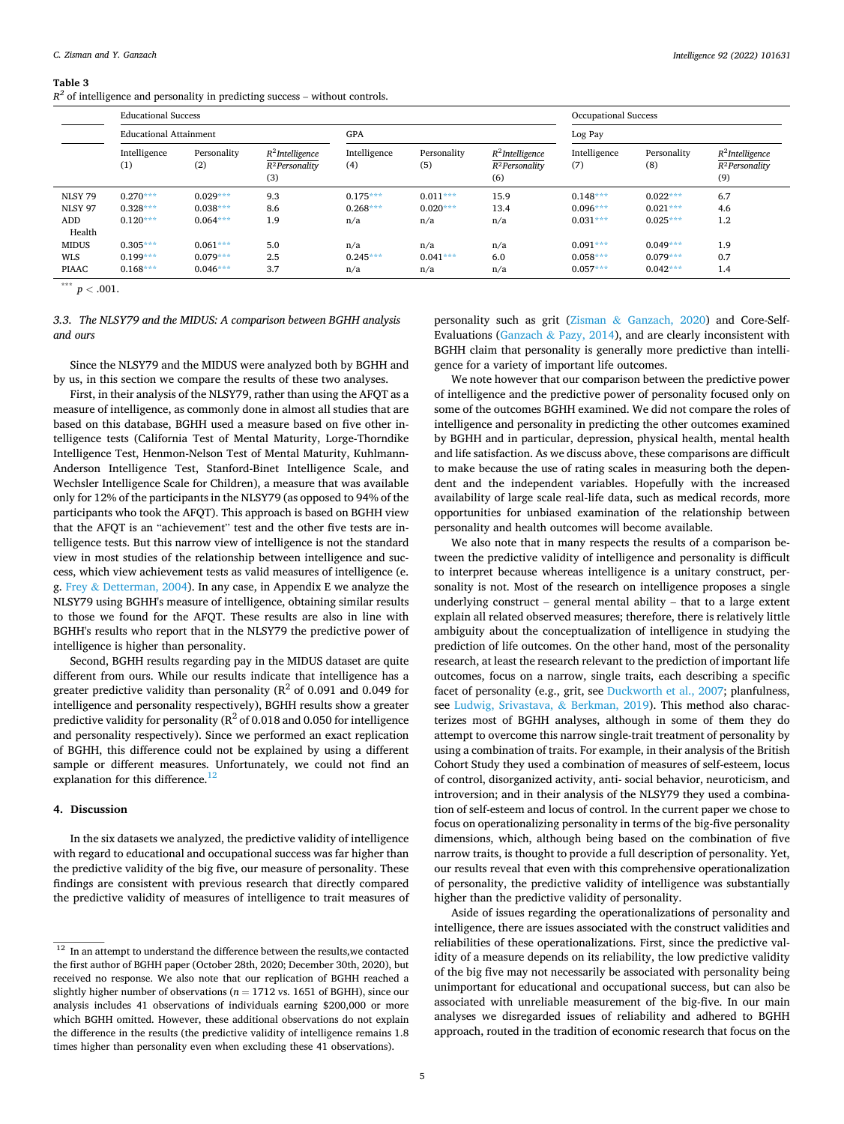#### <span id="page-4-0"></span>**Table 3**

 $R<sup>2</sup>$  of intelligence and personality in predicting success – without controls.

|                | <b>Educational Success</b>    |                    |                                                |                     |                    | <b>Occupational Success</b>                             |                     |                    |                                                         |  |
|----------------|-------------------------------|--------------------|------------------------------------------------|---------------------|--------------------|---------------------------------------------------------|---------------------|--------------------|---------------------------------------------------------|--|
|                | <b>Educational Attainment</b> |                    |                                                | GPA                 |                    |                                                         | Log Pay             |                    |                                                         |  |
|                | Intelligence<br>(1)           | Personality<br>(2) | $R^2$ Intelligence<br>$R^2$ Personality<br>(3) | Intelligence<br>(4) | Personality<br>(5) | $R^2$ Intelligence<br>R <sup>2</sup> Personality<br>(6) | Intelligence<br>(7) | Personality<br>(8) | $R^2$ Intelligence<br>R <sup>2</sup> Personality<br>(9) |  |
| NLSY 79        | $0.270***$                    | $0.029***$         | 9.3                                            | $0.175***$          | $0.011***$         | 15.9                                                    | $0.148***$          | $0.022***$         | 6.7                                                     |  |
| <b>NLSY 97</b> | $0.328***$                    | $0.038***$         | 8.6                                            | $0.268***$          | $0.020***$         | 13.4                                                    | $0.096***$          | $0.021***$         | 4.6                                                     |  |
| ADD            | $0.120***$                    | $0.064***$         | 1.9                                            | n/a                 | n/a                | n/a                                                     | $0.031***$          | $0.025***$         | 1.2                                                     |  |
| Health         |                               |                    |                                                |                     |                    |                                                         |                     |                    |                                                         |  |
| <b>MIDUS</b>   | $0.305***$                    | $0.061***$         | 5.0                                            | n/a                 | n/a                | n/a                                                     | $0.091***$          | $0.049***$         | 1.9                                                     |  |
| <b>WLS</b>     | $0.199***$                    | $0.079***$         | 2.5                                            | $0.245***$          | $0.041***$         | 6.0                                                     | $0.058***$          | $0.079***$         | 0.7                                                     |  |
| <b>PIAAC</b>   | $0.168***$                    | $0.046***$         | 3.7                                            | n/a                 | n/a                | n/a                                                     | $0.057***$          | $0.042***$         | 1.4                                                     |  |

 $*$ <sup>\*\*\*</sup> *p* < .001.

# *3.3. The NLSY79 and the MIDUS: A comparison between BGHH analysis and ours*

Since the NLSY79 and the MIDUS were analyzed both by BGHH and by us, in this section we compare the results of these two analyses.

First, in their analysis of the NLSY79, rather than using the AFQT as a measure of intelligence, as commonly done in almost all studies that are based on this database, BGHH used a measure based on five other intelligence tests (California Test of Mental Maturity, Lorge-Thorndike Intelligence Test, Henmon-Nelson Test of Mental Maturity, Kuhlmann-Anderson Intelligence Test, Stanford-Binet Intelligence Scale, and Wechsler Intelligence Scale for Children), a measure that was available only for 12% of the participants in the NLSY79 (as opposed to 94% of the participants who took the AFQT). This approach is based on BGHH view that the AFQT is an "achievement" test and the other five tests are intelligence tests. But this narrow view of intelligence is not the standard view in most studies of the relationship between intelligence and success, which view achievement tests as valid measures of intelligence (e. g. Frey & [Detterman, 2004](#page-13-0)). In any case, in Appendix E we analyze the NLSY79 using BGHH's measure of intelligence, obtaining similar results to those we found for the AFQT. These results are also in line with BGHH's results who report that in the NLSY79 the predictive power of intelligence is higher than personality.

Second, BGHH results regarding pay in the MIDUS dataset are quite different from ours. While our results indicate that intelligence has a greater predictive validity than personality ( $\mathbb{R}^2$  of 0.091 and 0.049 for intelligence and personality respectively), BGHH results show a greater predictive validity for personality ( $R^2$  of 0.018 and 0.050 for intelligence and personality respectively). Since we performed an exact replication of BGHH, this difference could not be explained by using a different sample or different measures. Unfortunately, we could not find an explanation for this difference.<sup>12</sup>

#### **4. Discussion**

In the six datasets we analyzed, the predictive validity of intelligence with regard to educational and occupational success was far higher than the predictive validity of the big five, our measure of personality. These findings are consistent with previous research that directly compared the predictive validity of measures of intelligence to trait measures of

personality such as grit (Zisman & [Ganzach, 2020](#page-13-0)) and Core-Self-Evaluations (Ganzach & [Pazy, 2014\)](#page-13-0), and are clearly inconsistent with BGHH claim that personality is generally more predictive than intelligence for a variety of important life outcomes.

We note however that our comparison between the predictive power of intelligence and the predictive power of personality focused only on some of the outcomes BGHH examined. We did not compare the roles of intelligence and personality in predicting the other outcomes examined by BGHH and in particular, depression, physical health, mental health and life satisfaction. As we discuss above, these comparisons are difficult to make because the use of rating scales in measuring both the dependent and the independent variables. Hopefully with the increased availability of large scale real-life data, such as medical records, more opportunities for unbiased examination of the relationship between personality and health outcomes will become available.

We also note that in many respects the results of a comparison between the predictive validity of intelligence and personality is difficult to interpret because whereas intelligence is a unitary construct, personality is not. Most of the research on intelligence proposes a single underlying construct – general mental ability – that to a large extent explain all related observed measures; therefore, there is relatively little ambiguity about the conceptualization of intelligence in studying the prediction of life outcomes. On the other hand, most of the personality research, at least the research relevant to the prediction of important life outcomes, focus on a narrow, single traits, each describing a specific facet of personality (e.g., grit, see [Duckworth et al., 2007;](#page-12-0) planfulness, see [Ludwig, Srivastava,](#page-13-0) & Berkman, 2019). This method also characterizes most of BGHH analyses, although in some of them they do attempt to overcome this narrow single-trait treatment of personality by using a combination of traits. For example, in their analysis of the British Cohort Study they used a combination of measures of self-esteem, locus of control, disorganized activity, anti- social behavior, neuroticism, and introversion; and in their analysis of the NLSY79 they used a combination of self-esteem and locus of control. In the current paper we chose to focus on operationalizing personality in terms of the big-five personality dimensions, which, although being based on the combination of five narrow traits, is thought to provide a full description of personality. Yet, our results reveal that even with this comprehensive operationalization of personality, the predictive validity of intelligence was substantially higher than the predictive validity of personality.

Aside of issues regarding the operationalizations of personality and intelligence, there are issues associated with the construct validities and reliabilities of these operationalizations. First, since the predictive validity of a measure depends on its reliability, the low predictive validity of the big five may not necessarily be associated with personality being unimportant for educational and occupational success, but can also be associated with unreliable measurement of the big-five. In our main analyses we disregarded issues of reliability and adhered to BGHH approach, routed in the tradition of economic research that focus on the

 $^{\rm 12}$  In an attempt to understand the difference between the results,<br>we contacted the first author of BGHH paper (October 28th, 2020; December 30th, 2020), but received no response. We also note that our replication of BGHH reached a slightly higher number of observations ( $n = 1712$  vs. 1651 of BGHH), since our analysis includes 41 observations of individuals earning \$200,000 or more which BGHH omitted. However, these additional observations do not explain the difference in the results (the predictive validity of intelligence remains 1.8 times higher than personality even when excluding these 41 observations).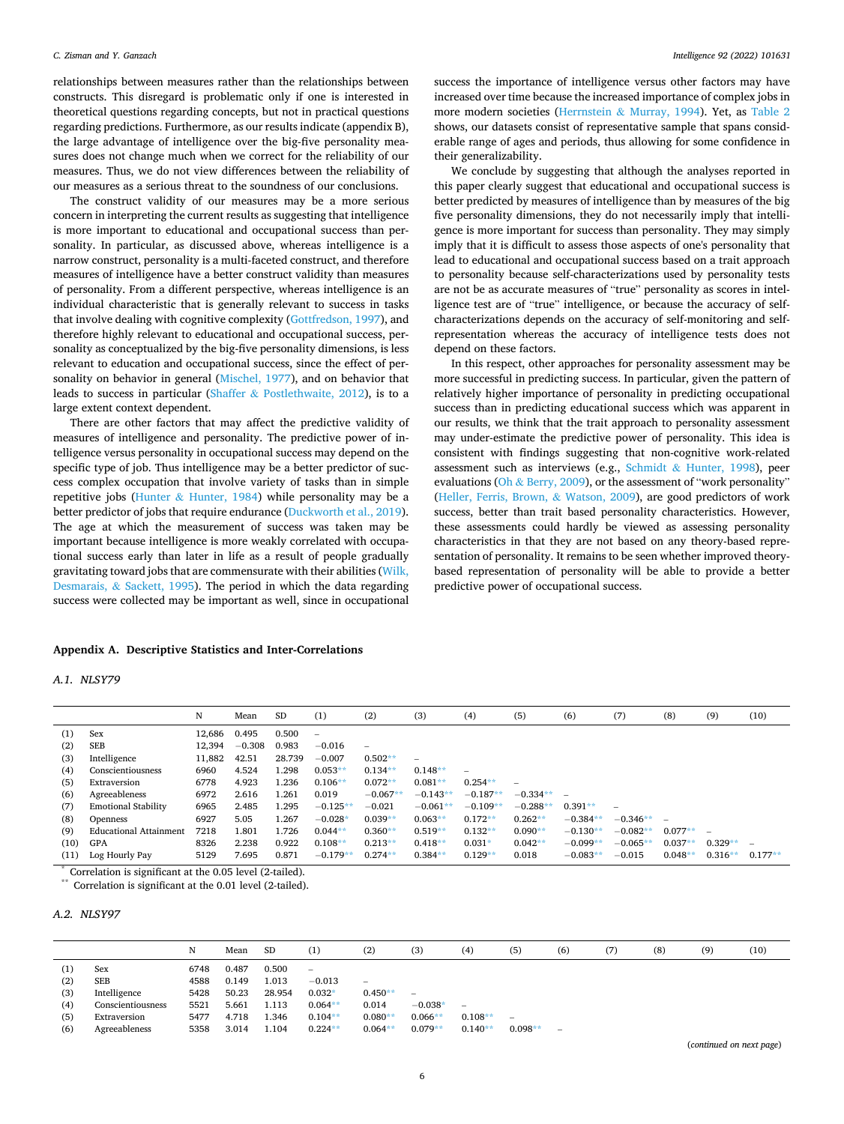relationships between measures rather than the relationships between constructs. This disregard is problematic only if one is interested in theoretical questions regarding concepts, but not in practical questions regarding predictions. Furthermore, as our results indicate (appendix B), the large advantage of intelligence over the big-five personality measures does not change much when we correct for the reliability of our measures. Thus, we do not view differences between the reliability of our measures as a serious threat to the soundness of our conclusions.

The construct validity of our measures may be a more serious concern in interpreting the current results as suggesting that intelligence is more important to educational and occupational success than personality. In particular, as discussed above, whereas intelligence is a narrow construct, personality is a multi-faceted construct, and therefore measures of intelligence have a better construct validity than measures of personality. From a different perspective, whereas intelligence is an individual characteristic that is generally relevant to success in tasks that involve dealing with cognitive complexity [\(Gottfredson, 1997](#page-13-0)), and therefore highly relevant to educational and occupational success, personality as conceptualized by the big-five personality dimensions, is less relevant to education and occupational success, since the effect of personality on behavior in general [\(Mischel, 1977](#page-13-0)), and on behavior that leads to success in particular (Shaffer & [Postlethwaite, 2012](#page-13-0)), is to a large extent context dependent.

There are other factors that may affect the predictive validity of measures of intelligence and personality. The predictive power of intelligence versus personality in occupational success may depend on the specific type of job. Thus intelligence may be a better predictor of success complex occupation that involve variety of tasks than in simple repetitive jobs (Hunter  $&$  [Hunter, 1984\)](#page-13-0) while personality may be a better predictor of jobs that require endurance ([Duckworth et al., 2019](#page-12-0)). The age at which the measurement of success was taken may be important because intelligence is more weakly correlated with occupational success early than later in life as a result of people gradually gravitating toward jobs that are commensurate with their abilities ([Wilk,](#page-13-0)  Desmarais, & [Sackett, 1995](#page-13-0)). The period in which the data regarding success were collected may be important as well, since in occupational

#### **Appendix A. Descriptive Statistics and Inter-Correlations**

*A.1. NLSY79* 

success the importance of intelligence versus other factors may have increased over time because the increased importance of complex jobs in more modern societies (Herrnstein & [Murray, 1994](#page-13-0)). Yet, as [Table 2](#page-2-0)  shows, our datasets consist of representative sample that spans considerable range of ages and periods, thus allowing for some confidence in their generalizability.

We conclude by suggesting that although the analyses reported in this paper clearly suggest that educational and occupational success is better predicted by measures of intelligence than by measures of the big five personality dimensions, they do not necessarily imply that intelligence is more important for success than personality. They may simply imply that it is difficult to assess those aspects of one's personality that lead to educational and occupational success based on a trait approach to personality because self-characterizations used by personality tests are not be as accurate measures of "true" personality as scores in intelligence test are of "true" intelligence, or because the accuracy of selfcharacterizations depends on the accuracy of self-monitoring and selfrepresentation whereas the accuracy of intelligence tests does not depend on these factors.

In this respect, other approaches for personality assessment may be more successful in predicting success. In particular, given the pattern of relatively higher importance of personality in predicting occupational success than in predicting educational success which was apparent in our results, we think that the trait approach to personality assessment may under-estimate the predictive power of personality. This idea is consistent with findings suggesting that non-cognitive work-related assessment such as interviews (e.g., Schmidt & [Hunter, 1998](#page-13-0)), peer evaluations (Oh  $\&$  [Berry, 2009](#page-13-0)), or the assessment of "work personality" ([Heller, Ferris, Brown,](#page-13-0) & Watson, 2009), are good predictors of work success, better than trait based personality characteristics. However, these assessments could hardly be viewed as assessing personality characteristics in that they are not based on any theory-based representation of personality. It remains to be seen whether improved theorybased representation of personality will be able to provide a better predictive power of occupational success.

|               |                                                           | N      | Mean     | <b>SD</b> | (1)               | (2)                      | (3)                      | (4)                      | (5)        | (6)        | (7)        | (8)       | (9)       | (10)                     |
|---------------|-----------------------------------------------------------|--------|----------|-----------|-------------------|--------------------------|--------------------------|--------------------------|------------|------------|------------|-----------|-----------|--------------------------|
| (1)           | Sex                                                       | 12.686 | 0.495    | 0.500     | $\qquad \qquad -$ |                          |                          |                          |            |            |            |           |           |                          |
| (2)           | <b>SEB</b>                                                | 12.394 | $-0.308$ | 0.983     | $-0.016$          | $\overline{\phantom{0}}$ |                          |                          |            |            |            |           |           |                          |
| (3)           | Intelligence                                              | 11,882 | 42.51    | 28.739    | $-0.007$          | $0.502**$                | $\overline{\phantom{0}}$ |                          |            |            |            |           |           |                          |
| (4)           | Conscientiousness                                         | 6960   | 4.524    | 1.298     | $0.053**$         | $0.134**$                | $0.148**$                | $\overline{\phantom{0}}$ |            |            |            |           |           |                          |
| (5)           | Extraversion                                              | 6778   | 4.923    | 1.236     | $0.106**$         | $0.072**$                | $0.081**$                | $0.254**$                |            |            |            |           |           |                          |
| (6)           | Agreeableness                                             | 6972   | 2.616    | 1.261     | 0.019             | $-0.067**$               | $-0.143**$               | $-0.187**$               | $-0.334**$ |            |            |           |           |                          |
| (7)           | <b>Emotional Stability</b>                                | 6965   | 2.485    | 1.295     | $-0.125**$        | $-0.021$                 | $-0.061**$               | $-0.109**$               | $-0.288**$ | $0.391**$  |            |           |           |                          |
| (8)           | <b>Openness</b>                                           | 6927   | 5.05     | 1.267     | $-0.028*$         | $0.039**$                | $0.063**$                | $0.172**$                | $0.262**$  | $-0.384**$ | $-0.346**$ |           |           |                          |
| (9)           | <b>Educational Attainment</b>                             | 7218   | 1.801    | 1.726     | $0.044**$         | $0.360**$                | $0.519**$                | $0.132**$                | $0.090**$  | $-0.130**$ | $-0.082**$ | $0.077**$ |           |                          |
| (10)          | GPA                                                       | 8326   | 2.238    | 0.922     | $0.108**$         | $0.213**$                | $0.418**$                | $0.031*$                 | $0.042**$  | $-0.099**$ | $-0.065**$ | $0.037**$ | $0.329**$ | $\overline{\phantom{m}}$ |
| (11)          | Log Hourly Pay                                            | 5129   | 7.695    | 0.871     | $-0.179**$        | $0.274**$                | $0.384**$                | $0.129**$                | 0.018      | $-0.083**$ | $-0.015$   | $0.048**$ | $0.316**$ | $0.177**$                |
| $\rightarrow$ | $\alpha$ is $\alpha$ in $\alpha$ is $\alpha$ and $\alpha$ |        |          |           |                   |                          |                          |                          |            |            |            |           |           |                          |

Correlation is significant at the 0.05 level (2-tailed).

Correlation is significant at the 0.01 level (2-tailed).

#### *A.2. NLSY97*

|                                 |                                                                        | N                                    | Mean                                      | SD                                         | (1)                                                                 | (2)                                                  | (3)                                                | (4)                                   | (5)                      | (6)                      | (8) | (9) | (10) |
|---------------------------------|------------------------------------------------------------------------|--------------------------------------|-------------------------------------------|--------------------------------------------|---------------------------------------------------------------------|------------------------------------------------------|----------------------------------------------------|---------------------------------------|--------------------------|--------------------------|-----|-----|------|
| (1)<br>(2)<br>(3)<br>(4)<br>(5) | Sex<br><b>SEB</b><br>Intelligence<br>Conscientiousness<br>Extraversion | 6748<br>4588<br>5428<br>5521<br>5477 | 0.487<br>0.149<br>50.23<br>5.661<br>4.718 | 0.500<br>1.013<br>28.954<br>1.113<br>1.346 | $\qquad \qquad -$<br>$-0.013$<br>$0.032*$<br>$0.064**$<br>$0.104**$ | $\qquad \qquad -$<br>$0.450**$<br>0.014<br>$0.080**$ | $\overline{\phantom{m}}$<br>$-0.038*$<br>$0.066**$ | $\overline{\phantom{a}}$<br>$0.108**$ | $\overline{\phantom{0}}$ |                          |     |     |      |
| (6)                             | Agreeableness                                                          | 5358                                 | 3.014                                     | 1.104                                      | $0.224**$                                                           | $0.064**$                                            | $0.079**$                                          | $0.140**$                             | $0.098**$                | $\overline{\phantom{0}}$ |     |     |      |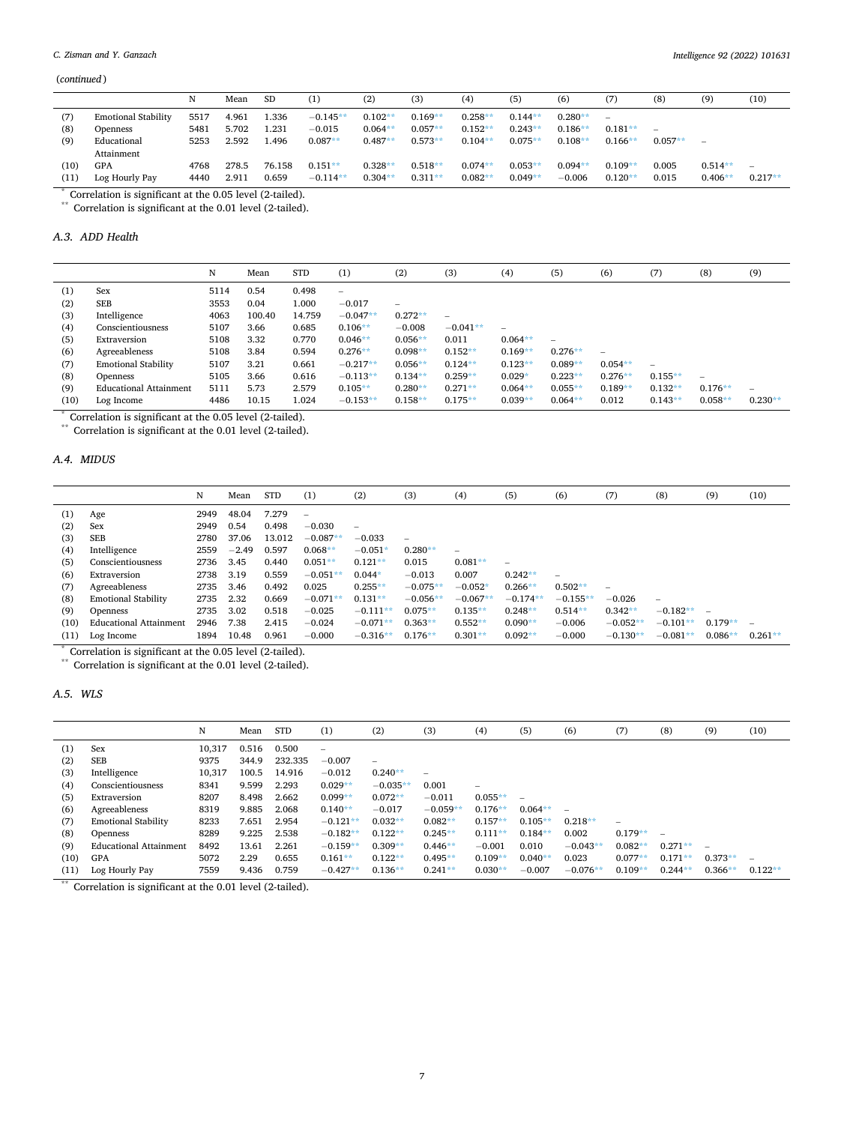<span id="page-6-0"></span>(*continued* )

|        |                            | N    | Mean  | <b>SD</b> | (1)        | (2)       | (3)       | (4)       | (5)       | (6)       | (7)                      | (8)       | (9)               | (10)      |
|--------|----------------------------|------|-------|-----------|------------|-----------|-----------|-----------|-----------|-----------|--------------------------|-----------|-------------------|-----------|
| (7)    | <b>Emotional Stability</b> | 5517 | 4.961 | 1.336     | $-0.145**$ | $0.102**$ | $0.169**$ | $0.258**$ | $0.144**$ | $0.280**$ | $\overline{\phantom{0}}$ |           |                   |           |
| (8)    | Openness                   | 5481 | 5.702 | 1.231     | $-0.015$   | $0.064**$ | $0.057**$ | $0.152**$ | $0.243**$ | $0.186**$ | $0.181**$                |           |                   |           |
| (9)    | Educational                | 5253 | 2.592 | 1.496     | $0.087**$  | $0.487**$ | $0.573**$ | $0.104**$ | $0.075**$ | $0.108**$ | $0.166**$                | $0.057**$ | $\hspace{0.05cm}$ |           |
|        | Attainment                 |      |       |           |            |           |           |           |           |           |                          |           |                   |           |
| (10)   | GPA                        | 4768 | 278.5 | 76.158    | $0.151**$  | $0.328**$ | $0.518**$ | $0.074**$ | $0.053**$ | $0.094**$ | $0.109**$                | 0.005     | $0.514**$         |           |
| (11)   | Log Hourly Pay             | 4440 | 2.911 | 0.659     | $-0.114**$ | $0.304**$ | $0.311**$ | $0.082**$ | $0.049**$ | $-0.006$  | $0.120**$                | 0.015     | $0.406**$         | $0.217**$ |
| $\sim$ | .                          | .    |       |           |            |           |           |           |           |           |                          |           |                   |           |

\* Correlation is significant at the 0.05 level (2-tailed).

\*\* Correlation is significant at the 0.01 level (2-tailed).

# *A.3. ADD Health*

|      |                               | N    | Mean   | <b>STD</b> | (1)        | (2)                      | (3)        | (4)       | (5)                      | (6)       | (7)       | (8)       | (9)                      |
|------|-------------------------------|------|--------|------------|------------|--------------------------|------------|-----------|--------------------------|-----------|-----------|-----------|--------------------------|
| (1)  | Sex                           | 5114 | 0.54   | 0.498      |            |                          |            |           |                          |           |           |           |                          |
| (2)  | SEB                           | 3553 | 0.04   | .000       | $-0.017$   | $\overline{\phantom{0}}$ |            |           |                          |           |           |           |                          |
| (3)  | Intelligence                  | 4063 | 100.40 | 14.759     | $-0.047**$ | $0.272**$                | -          |           |                          |           |           |           |                          |
| (4)  | Conscientiousness             | 5107 | 3.66   | 0.685      | $0.106**$  | $-0.008$                 | $-0.041**$ | -         |                          |           |           |           |                          |
| (5)  | Extraversion                  | 5108 | 3.32   | 0.770      | $0.046**$  | $0.056**$                | 0.011      | $0.064**$ | $\overline{\phantom{a}}$ |           |           |           |                          |
| (6)  | Agreeableness                 | 5108 | 3.84   | 0.594      | $0.276**$  | $0.098**$                | $0.152**$  | $0.169**$ | $0.276**$                | -         |           |           |                          |
| (7)  | <b>Emotional Stability</b>    | 5107 | 3.21   | 0.661      | $-0.217**$ | $0.056**$                | $0.124**$  | $0.123**$ | $0.089**$                | $0.054**$ | -         |           |                          |
| (8)  | <b>Openness</b>               | 5105 | 3.66   | 0.616      | $-0.113**$ | $0.134**$                | $0.259**$  | $0.029*$  | $0.223**$                | $0.276**$ | $0.155**$ | -         |                          |
| (9)  | <b>Educational Attainment</b> | 5111 | 5.73   | 2.579      | $0.105**$  | $0.280**$                | $0.271**$  | $0.064**$ | $0.055**$                | $0.189**$ | $0.132**$ | $0.176**$ | $\overline{\phantom{a}}$ |
| (10) | Log Income                    | 4486 | 10.15  | .024       | $-0.153**$ | $0.158**$                | $0.175**$  | $0.039**$ | $0.064**$                | 0.012     | $0.143**$ | $0.058**$ | $0.230**$                |

\* Correlation is significant at the 0.05 level (2-tailed).

\*\* Correlation is significant at the 0.01 level (2-tailed).

# *A.4. MIDUS*

|      |                               | N    | Mean    | <b>STD</b> | (1)            | (2)                      | (3)        | (4)        | (5)                      | (6)                      | (7)        | (8)                      | (9)                      | (10)      |
|------|-------------------------------|------|---------|------------|----------------|--------------------------|------------|------------|--------------------------|--------------------------|------------|--------------------------|--------------------------|-----------|
| (1)  | Age                           | 2949 | 48.04   | 7.279      | $\overline{a}$ |                          |            |            |                          |                          |            |                          |                          |           |
| (2)  | Sex                           | 2949 | 0.54    | 0.498      | $-0.030$       | $\overline{\phantom{a}}$ |            |            |                          |                          |            |                          |                          |           |
| (3)  | SEB                           | 2780 | 37.06   | 13.012     | $-0.087**$     | $-0.033$                 |            |            |                          |                          |            |                          |                          |           |
| (4)  | Intelligence                  | 2559 | $-2.49$ | 0.597      | $0.068**$      | $-0.051*$                | $0.280**$  | -          |                          |                          |            |                          |                          |           |
| (5)  | Conscientiousness             | 2736 | 3.45    | 0.440      | $0.051**$      | $0.121**$                | 0.015      | $0.081**$  | $\overline{\phantom{0}}$ |                          |            |                          |                          |           |
| (6)  | Extraversion                  | 2738 | 3.19    | 0.559      | $-0.051*$      | $0.044*$                 | $-0.013$   | 0.007      | $0.242**$                | $\overline{\phantom{a}}$ |            |                          |                          |           |
| (7)  | Agreeableness                 | 2735 | 3.46    | 0.492      | 0.025          | $0.255**$                | $-0.075**$ | $-0.052*$  | $0.266**$                | $0.502**$                |            |                          |                          |           |
| (8)  | <b>Emotional Stability</b>    | 2735 | 2.32    | 0.669      | $-0.071**$     | $0.131**$                | $-0.056**$ | $-0.067**$ | $-0.174**$               | $-0.155**$               | $-0.026$   | $\overline{\phantom{0}}$ |                          |           |
| (9)  | <b>Openness</b>               | 2735 | 3.02    | 0.518      | $-0.025$       | $-0.111**$               | $0.075**$  | $0.135**$  | $0.248**$                | $0.514**$                | $0.342**$  | $-0.182**$               | $\overline{\phantom{0}}$ |           |
| (10) | <b>Educational Attainment</b> | 2946 | 7.38    | 2.415      | $-0.024$       | $-0.071**$               | $0.363**$  | $0.552**$  | $0.090**$                | $-0.006$                 | $-0.052**$ | $-0.101**$               | $0.179**$                |           |
| (11) | Log Income                    | 1894 | 10.48   | 0.961      | $-0.000$       | $-0.316**$               | $0.176**$  | $0.301**$  | $0.092**$                | $-0.000$                 | $-0.130**$ | $-0.081**$               | $0.086**$                | $0.261**$ |

\* Correlation is significant at the 0.05 level (2-tailed).

\*\* Correlation is significant at the 0.01 level (2-tailed).

# *A.5. WLS*

|      |                               | N      | Mean  | <b>STD</b> | (1)        | (2)                             | (3)                      | (4)                      | (5)                      | (6)        | (7)       | (8)                      | (9)                      | (10)                     |
|------|-------------------------------|--------|-------|------------|------------|---------------------------------|--------------------------|--------------------------|--------------------------|------------|-----------|--------------------------|--------------------------|--------------------------|
| (1)  | Sex                           | 10.317 | 0.516 | 0.500      | ÷          |                                 |                          |                          |                          |            |           |                          |                          |                          |
| (2)  | SEB                           | 9375   | 344.9 | 232.335    | $-0.007$   | $\hspace{0.1mm}-\hspace{0.1mm}$ |                          |                          |                          |            |           |                          |                          |                          |
| (3)  | Intelligence                  | 10,317 | 100.5 | 14.916     | $-0.012$   | $0.240**$                       | $\overline{\phantom{0}}$ |                          |                          |            |           |                          |                          |                          |
| (4)  | Conscientiousness             | 8341   | 9.599 | 2.293      | $0.029**$  | $-0.035**$                      | 0.001                    | $\overline{\phantom{0}}$ |                          |            |           |                          |                          |                          |
| (5)  | Extraversion                  | 8207   | 8.498 | 2.662      | $0.099**$  | $0.072**$                       | $-0.011$                 | $0.055**$                | $\overline{\phantom{a}}$ |            |           |                          |                          |                          |
| (6)  | Agreeableness                 | 8319   | 9.885 | 2.068      | $0.140**$  | $-0.017$                        | $-0.059**$               | $0.176**$                | $0.064**$                | ÷          |           |                          |                          |                          |
| (7)  | <b>Emotional Stability</b>    | 8233   | 7.651 | 2.954      | $-0.121**$ | $0.032**$                       | $0.082**$                | $0.157**$                | $0.105**$                | $0.218**$  |           |                          |                          |                          |
| (8)  | Openness                      | 8289   | 9.225 | 2.538      | $-0.182**$ | $0.122**$                       | $0.245**$                | $0.111**$                | $0.184**$                | 0.002      | $0.179**$ | $\overline{\phantom{0}}$ |                          |                          |
| (9)  | <b>Educational Attainment</b> | 8492   | 13.61 | 2.261      | $-0.159**$ | $0.309**$                       | $0.446**$                | $-0.001$                 | 0.010                    | $-0.043**$ | $0.082**$ | $0.271**$                | $\overline{\phantom{a}}$ |                          |
| (10) | GPA                           | 5072   | 2.29  | 0.655      | $0.161**$  | $0.122**$                       | $0.495**$                | $0.109**$                | $0.040**$                | 0.023      | $0.077**$ | $0.171**$                | $0.373**$                | $\overline{\phantom{a}}$ |
| (11) | Log Hourly Pay                | 7559   | 9.436 | 0.759      | $-0.427**$ | $0.136**$                       | $0.241**$                | $0.030**$                | $-0.007$                 | $-0.076**$ | $0.109**$ | $0.244**$                | $0.366**$                | $0.122**$                |

 $\frac{6}{100}$  Correlation is significant at the 0.01 level (2-tailed).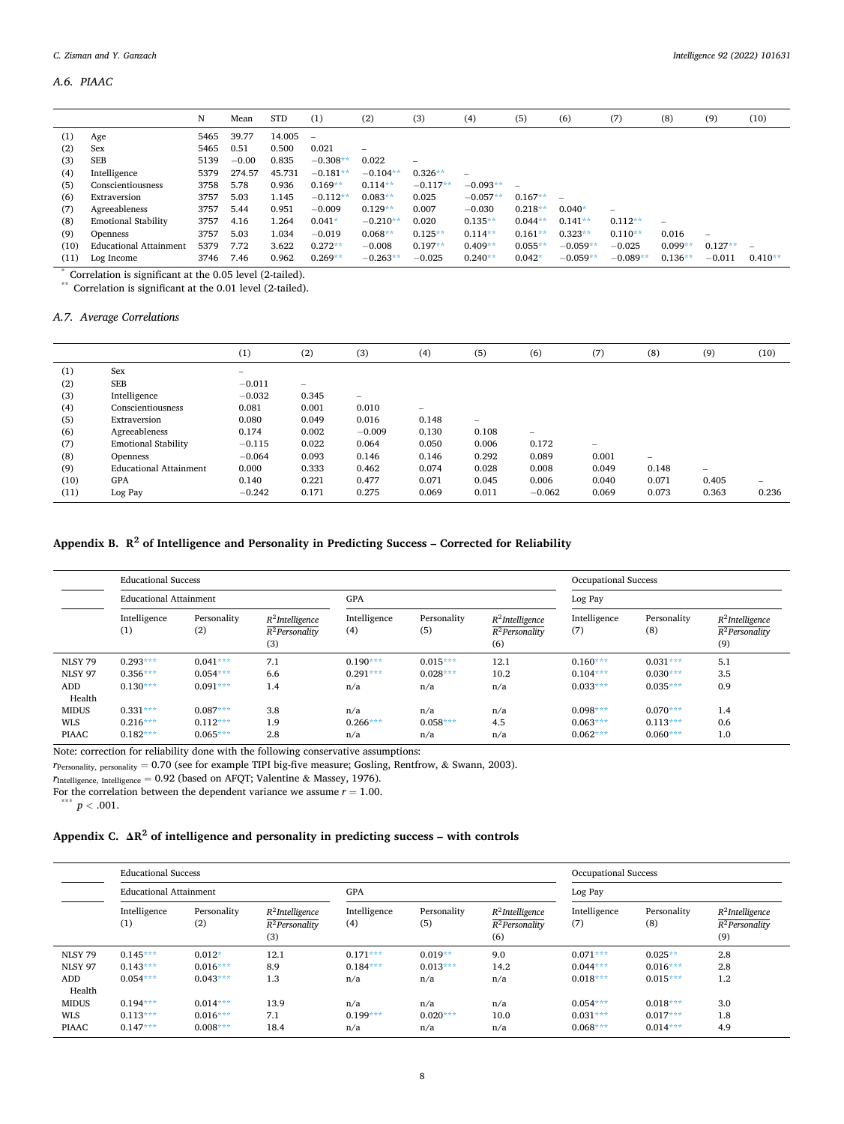# *A.6. PIAAC*

|      |                               | N    | Mean    | <b>STD</b> | (1)                      | (2)             | (3)               | (4)        | (5)       | (6)        | (7)                             | (8)                      | (9)                      | (10)      |
|------|-------------------------------|------|---------|------------|--------------------------|-----------------|-------------------|------------|-----------|------------|---------------------------------|--------------------------|--------------------------|-----------|
| (1)  | Age                           | 5465 | 39.77   | 14.005     | $\overline{\phantom{0}}$ |                 |                   |            |           |            |                                 |                          |                          |           |
| (2)  | Sex                           | 5465 | 0.51    | 0.500      | 0.021                    | $\qquad \qquad$ |                   |            |           |            |                                 |                          |                          |           |
| (3)  | <b>SEB</b>                    | 5139 | $-0.00$ | 0.835      | $-0.308**$               | 0.022           | $\qquad \qquad -$ |            |           |            |                                 |                          |                          |           |
| (4)  | Intelligence                  | 5379 | 274.57  | 45.731     | $-0.181**$               | $-0.104**$      | $0.326**$         | -          |           |            |                                 |                          |                          |           |
| (5)  | Conscientiousness             | 3758 | 5.78    | 0.936      | $0.169**$                | $0.114**$       | $-0.117**$        | $-0.093**$ |           |            |                                 |                          |                          |           |
| (6)  | Extraversion                  | 3757 | 5.03    | 1.145      | $-0.112**$               | $0.083**$       | 0.025             | $-0.057**$ | $0.167**$ |            |                                 |                          |                          |           |
| (7)  | Agreeableness                 | 3757 | 5.44    | 0.951      | $-0.009$                 | $0.129**$       | 0.007             | $-0.030$   | $0.218**$ | $0.040*$   | $\hspace{0.1mm}-\hspace{0.1mm}$ |                          |                          |           |
| (8)  | <b>Emotional Stability</b>    | 3757 | 4.16    | 1.264      | $0.041*$                 | $-0.210**$      | 0.020             | $0.135**$  | $0.044**$ | $0.141**$  | $0.112**$                       | $\overline{\phantom{0}}$ |                          |           |
| (9)  | Openness                      | 3757 | 5.03    | 1.034      | $-0.019$                 | $0.068**$       | $0.125**$         | $0.114**$  | $0.161**$ | $0.323**$  | $0.110**$                       | 0.016                    | $\overline{\phantom{m}}$ |           |
| (10) | <b>Educational Attainment</b> | 5379 | 7.72    | 3.622      | $0.272**$                | $-0.008$        | $0.197**$         | $0.409**$  | $0.055**$ | $-0.059**$ | $-0.025$                        | $0.099**$                | $0.127**$                |           |
| (11) | Log Income                    | 3746 | 7.46    | 0.962      | $0.269**$                | $-0.263**$      | $-0.025$          | $0.240**$  | $0.042*$  | $-0.059**$ | $-0.089**$                      | $0.136**$                | $-0.011$                 | $0.410**$ |

\* Correlation is significant at the 0.05 level (2-tailed).

\*\* Correlation is significant at the 0.01 level (2-tailed).

# *A.7. Average Correlations*

|      |                               | (1)      | (2)                      | (3)                      | (4)   | (5)                      | (6)                             | (7)                      | (8)                      | (9)             | (10)  |
|------|-------------------------------|----------|--------------------------|--------------------------|-------|--------------------------|---------------------------------|--------------------------|--------------------------|-----------------|-------|
| (1)  | Sex                           |          |                          |                          |       |                          |                                 |                          |                          |                 |       |
| (2)  | <b>SEB</b>                    | $-0.011$ | $\overline{\phantom{0}}$ |                          |       |                          |                                 |                          |                          |                 |       |
| (3)  | Intelligence                  | $-0.032$ | 0.345                    | $\overline{\phantom{m}}$ |       |                          |                                 |                          |                          |                 |       |
| (4)  | Conscientiousness             | 0.081    | 0.001                    | 0.010                    | $-$   |                          |                                 |                          |                          |                 |       |
| (5)  | Extraversion                  | 0.080    | 0.049                    | 0.016                    | 0.148 | $\overline{\phantom{0}}$ |                                 |                          |                          |                 |       |
| (6)  | Agreeableness                 | 0.174    | 0.002                    | $-0.009$                 | 0.130 | 0.108                    | $\hspace{0.1mm}-\hspace{0.1mm}$ |                          |                          |                 |       |
| (7)  | <b>Emotional Stability</b>    | $-0.115$ | 0.022                    | 0.064                    | 0.050 | 0.006                    | 0.172                           | $\overline{\phantom{0}}$ |                          |                 |       |
| (8)  | <b>Openness</b>               | $-0.064$ | 0.093                    | 0.146                    | 0.146 | 0.292                    | 0.089                           | 0.001                    | $\overline{\phantom{m}}$ |                 |       |
| (9)  | <b>Educational Attainment</b> | 0.000    | 0.333                    | 0.462                    | 0.074 | 0.028                    | 0.008                           | 0.049                    | 0.148                    | $\qquad \qquad$ |       |
| (10) | <b>GPA</b>                    | 0.140    | 0.221                    | 0.477                    | 0.071 | 0.045                    | 0.006                           | 0.040                    | 0.071                    | 0.405           | -     |
| (11) | Log Pay                       | $-0.242$ | 0.171                    | 0.275                    | 0.069 | 0.011                    | $-0.062$                        | 0.069                    | 0.073                    | 0.363           | 0.236 |

# **Appendix B. R2 of Intelligence and Personality in Predicting Success – Corrected for Reliability**

|                | <b>Educational Success</b>    |                    |                                                |                     |                    |                                                | <b>Occupational Success</b> |                    |                                                |
|----------------|-------------------------------|--------------------|------------------------------------------------|---------------------|--------------------|------------------------------------------------|-----------------------------|--------------------|------------------------------------------------|
|                | <b>Educational Attainment</b> |                    | GPA                                            |                     |                    | Log Pay                                        |                             |                    |                                                |
|                | Intelligence<br>(1)           | Personality<br>(2) | $R^2$ Intelligence<br>$R^2$ Personality<br>(3) | Intelligence<br>(4) | Personality<br>(5) | $R^2$ Intelligence<br>$R^2$ Personality<br>(6) | Intelligence<br>(7)         | Personality<br>(8) | $R^2$ Intelligence<br>$R^2$ Personality<br>(9) |
| <b>NLSY 79</b> | $0.293***$                    | $0.041***$         | 7.1                                            | $0.190***$          | $0.015***$         | 12.1                                           | $0.160***$                  | $0.031***$         | 5.1                                            |
| <b>NLSY 97</b> | $0.356***$                    | $0.054***$         | 6.6                                            | $0.291***$          | $0.028***$         | 10.2                                           | $0.104***$                  | $0.030***$         | 3.5                                            |
| ADD<br>Health  | $0.130***$                    | $0.091***$         | 1.4                                            | n/a                 | n/a                | n/a                                            | $0.033***$                  | $0.035***$         | 0.9                                            |
| <b>MIDUS</b>   | $0.331***$                    | $0.087***$         | 3.8                                            | n/a                 | n/a                | n/a                                            | $0.098***$                  | $0.070***$         | 1.4                                            |
| <b>WLS</b>     | $0.216***$                    | $0.112***$         | 1.9                                            | $0.266***$          | $0.058***$         | 4.5                                            | $0.063***$                  | $0.113***$         | 0.6                                            |
| <b>PIAAC</b>   | $0.182***$                    | $0.065***$         | 2.8                                            | n/a                 | n/a                | n/a                                            | $0.062***$                  | $0.060***$         | 1.0                                            |

Note: correction for reliability done with the following conservative assumptions:

*r*Personality, personality = 0.70 (see for example TIPI big-five measure; Gosling, Rentfrow, & Swann, 2003).

 $r_{\text{Intelligence, Intelligence}} = 0.92$  (based on AFQT; Valentine & Massey, 1976).

For the correlation between the dependent variance we assume  $r = 1.00$ .

 $p < .001$ .

# **Appendix C. ΔR <sup>2</sup>of intelligence and personality in predicting success – with controls**

|                | <b>Educational Success</b>    |                    |                                                         |                     |                    |                                                         | Occupational Success |                    |                                                         |
|----------------|-------------------------------|--------------------|---------------------------------------------------------|---------------------|--------------------|---------------------------------------------------------|----------------------|--------------------|---------------------------------------------------------|
|                | <b>Educational Attainment</b> |                    | <b>GPA</b>                                              |                     |                    | Log Pay                                                 |                      |                    |                                                         |
|                | Intelligence<br>(1)           | Personality<br>(2) | $R^2$ Intelligence<br>R <sup>2</sup> Personality<br>(3) | Intelligence<br>(4) | Personality<br>(5) | $R^2$ Intelligence<br>R <sup>2</sup> Personality<br>(6) | Intelligence<br>(7)  | Personality<br>(8) | $R^2$ Intelligence<br>R <sup>2</sup> Personality<br>(9) |
| <b>NLSY 79</b> | $0.145***$                    | $0.012*$           | 12.1                                                    | $0.171***$          | $0.019**$          | 9.0                                                     | $0.071***$           | $0.025**$          | 2.8                                                     |
| <b>NLSY 97</b> | $0.143***$                    | $0.016***$         | 8.9                                                     | $0.184***$          | $0.013***$         | 14.2                                                    | $0.044***$           | $0.016***$         | 2.8                                                     |
| ADD<br>Health  | $0.054***$                    | $0.043***$         | 1.3                                                     | n/a                 | n/a                | n/a                                                     | $0.018***$           | $0.015***$         | 1.2                                                     |
| <b>MIDUS</b>   | $0.194***$                    | $0.014***$         | 13.9                                                    | n/a                 | n/a                | n/a                                                     | $0.054***$           | $0.018***$         | 3.0                                                     |
| <b>WLS</b>     | $0.113***$                    | $0.016***$         | 7.1                                                     | $0.199***$          | $0.020***$         | 10.0                                                    | $0.031***$           | $0.017***$         | 1.8                                                     |
| <b>PIAAC</b>   | $0.147***$                    | $0.008***$         | 18.4                                                    | n/a                 | n/a                | n/a                                                     | $0.068***$           | $0.014***$         | 4.9                                                     |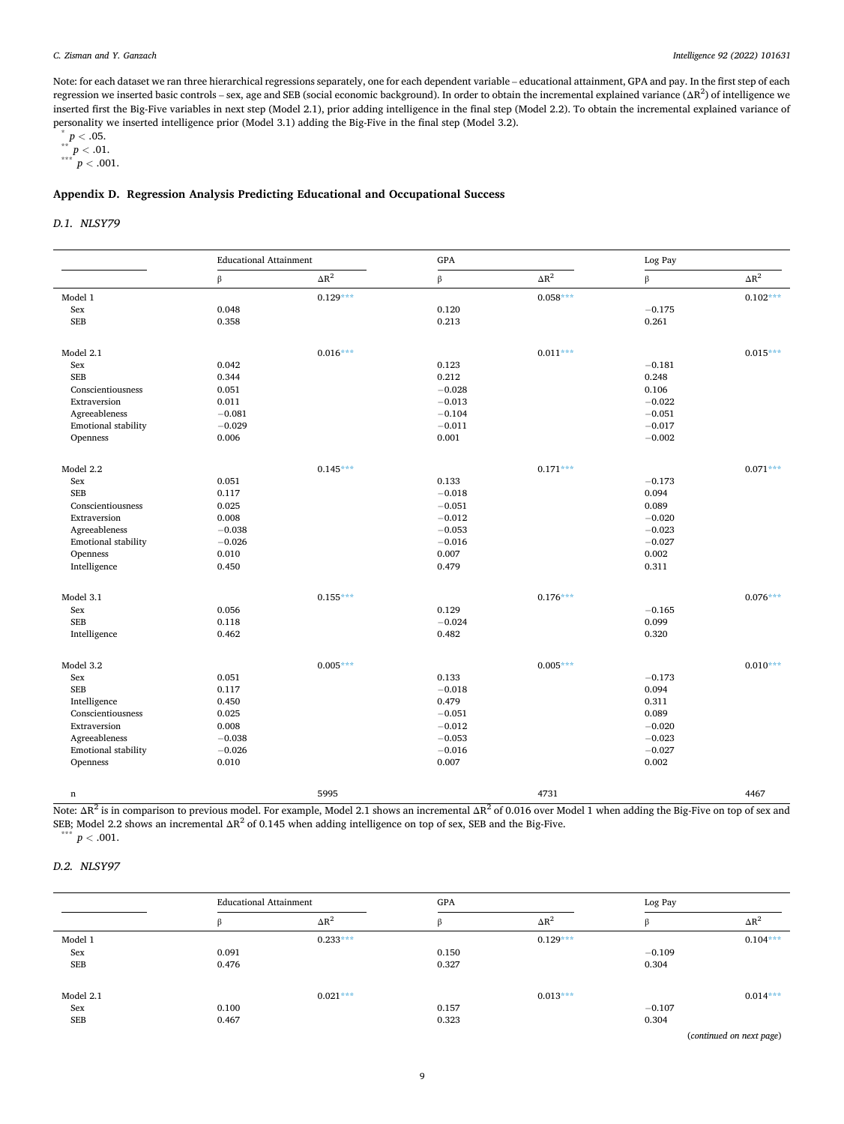#### <span id="page-8-0"></span>*C. Zisman and Y. Ganzach*

Note: for each dataset we ran three hierarchical regressions separately, one for each dependent variable – educational attainment, GPA and pay. In the first step of each regression we inserted basic controls – sex, age and SEB (social economic background). In order to obtain the incremental explained variance (ΔR<sup>2</sup>) of intelligence we inserted first the Big-Five variables in next step (Model 2.1), prior adding intelligence in the final step (Model 2.2). To obtain the incremental explained variance of personality we inserted intelligence prior (Model 3.1) adding the Big-Five in the final step (Model 3.2).

```
\degree p < .05.
```
 $^{\ast\ast}$   $p < .01.$  $***$   $p < .001$ .

# **Appendix D. Regression Analysis Predicting Educational and Occupational Success**

# *D.1. NLSY79*

|                     | <b>Educational Attainment</b> |              | GPA      |              | Log Pay  |              |
|---------------------|-------------------------------|--------------|----------|--------------|----------|--------------|
|                     | β                             | $\Delta R^2$ | $\beta$  | $\Delta R^2$ | $\beta$  | $\Delta R^2$ |
| Model 1             |                               | $0.129***$   |          | $0.058***$   |          | $0.102***$   |
| Sex                 | 0.048                         |              | 0.120    |              | $-0.175$ |              |
| <b>SEB</b>          | 0.358                         |              | 0.213    |              | 0.261    |              |
|                     |                               |              |          |              |          |              |
| Model 2.1           |                               | $0.016***$   |          | $0.011***$   |          | $0.015***$   |
| Sex                 | 0.042                         |              | 0.123    |              | $-0.181$ |              |
| <b>SEB</b>          | 0.344                         |              | 0.212    |              | 0.248    |              |
| Conscientiousness   | 0.051                         |              | $-0.028$ |              | 0.106    |              |
| Extraversion        | 0.011                         |              | $-0.013$ |              | $-0.022$ |              |
| Agreeableness       | $-0.081$                      |              | $-0.104$ |              | $-0.051$ |              |
| Emotional stability | $-0.029$                      |              | $-0.011$ |              | $-0.017$ |              |
| Openness            | 0.006                         |              | 0.001    |              | $-0.002$ |              |
|                     |                               |              |          |              |          |              |
| Model 2.2           |                               | $0.145***$   |          | $0.171***$   |          | $0.071***$   |
| Sex                 | 0.051                         |              | 0.133    |              | $-0.173$ |              |
| <b>SEB</b>          | 0.117                         |              | $-0.018$ |              | 0.094    |              |
| Conscientiousness   | 0.025                         |              | $-0.051$ |              | 0.089    |              |
| Extraversion        | 0.008                         |              | $-0.012$ |              | $-0.020$ |              |
| Agreeableness       | $-0.038$                      |              | $-0.053$ |              | $-0.023$ |              |
| Emotional stability | $-0.026$                      |              | $-0.016$ |              | $-0.027$ |              |
| Openness            | 0.010                         |              | 0.007    |              | 0.002    |              |
| Intelligence        | 0.450                         |              | 0.479    |              | 0.311    |              |
| Model 3.1           |                               | $0.155***$   |          | $0.176***$   |          | $0.076***$   |
| Sex                 | 0.056                         |              | 0.129    |              | $-0.165$ |              |
| <b>SEB</b>          | 0.118                         |              | $-0.024$ |              | 0.099    |              |
| Intelligence        | 0.462                         |              | 0.482    |              | 0.320    |              |
|                     |                               |              |          |              |          |              |
| Model 3.2           |                               | $0.005***$   |          | $0.005***$   |          | $0.010***$   |
| Sex                 | 0.051                         |              | 0.133    |              | $-0.173$ |              |
| <b>SEB</b>          | 0.117                         |              | $-0.018$ |              | 0.094    |              |
| Intelligence        | 0.450                         |              | 0.479    |              | 0.311    |              |
| Conscientiousness   | 0.025                         |              | $-0.051$ |              | 0.089    |              |
| Extraversion        | 0.008                         |              | $-0.012$ |              | $-0.020$ |              |
| Agreeableness       | $-0.038$                      |              | $-0.053$ |              | $-0.023$ |              |
| Emotional stability | $-0.026$                      |              | $-0.016$ |              | $-0.027$ |              |
| Openness            | 0.010                         |              | 0.007    |              | 0.002    |              |
|                     |                               |              |          |              |          |              |
| $\mathbf n$         |                               | 5995         |          | 4731         |          | 4467         |

Note: ΔR<sup>2</sup> is in comparison to previous model. For example, Model 2.1 shows an incremental ΔR<sup>2</sup> of 0.016 over Model 1 when adding the Big-Five on top of sex and SEB; Model 2.2 shows an incremental  $\Delta R^2$  of 0.145 when adding intelligence on top of sex, SEB and the Big-Five.  $\stackrel{*}{p}$  *p* < .001.

# *D.2. NLSY97*

|           |       | <b>Educational Attainment</b> |       | GPA          |          | Log Pay            |  |
|-----------|-------|-------------------------------|-------|--------------|----------|--------------------|--|
|           |       | $\Delta R^2$                  |       | $\Delta R^2$ |          | $\Delta R^2$       |  |
| Model 1   |       | $0.233***$                    |       | $0.129***$   |          | $0.104***$         |  |
| Sex       | 0.091 |                               | 0.150 |              | $-0.109$ |                    |  |
| SEB       | 0.476 |                               | 0.327 |              | 0.304    |                    |  |
| Model 2.1 |       | $0.021***$                    |       | $0.013***$   |          | $0.014***$         |  |
| Sex       | 0.100 |                               | 0.157 |              | $-0.107$ |                    |  |
| SEB       | 0.467 |                               | 0.323 |              | 0.304    |                    |  |
|           |       |                               |       |              |          | .<br>$\sim$ $\sim$ |  |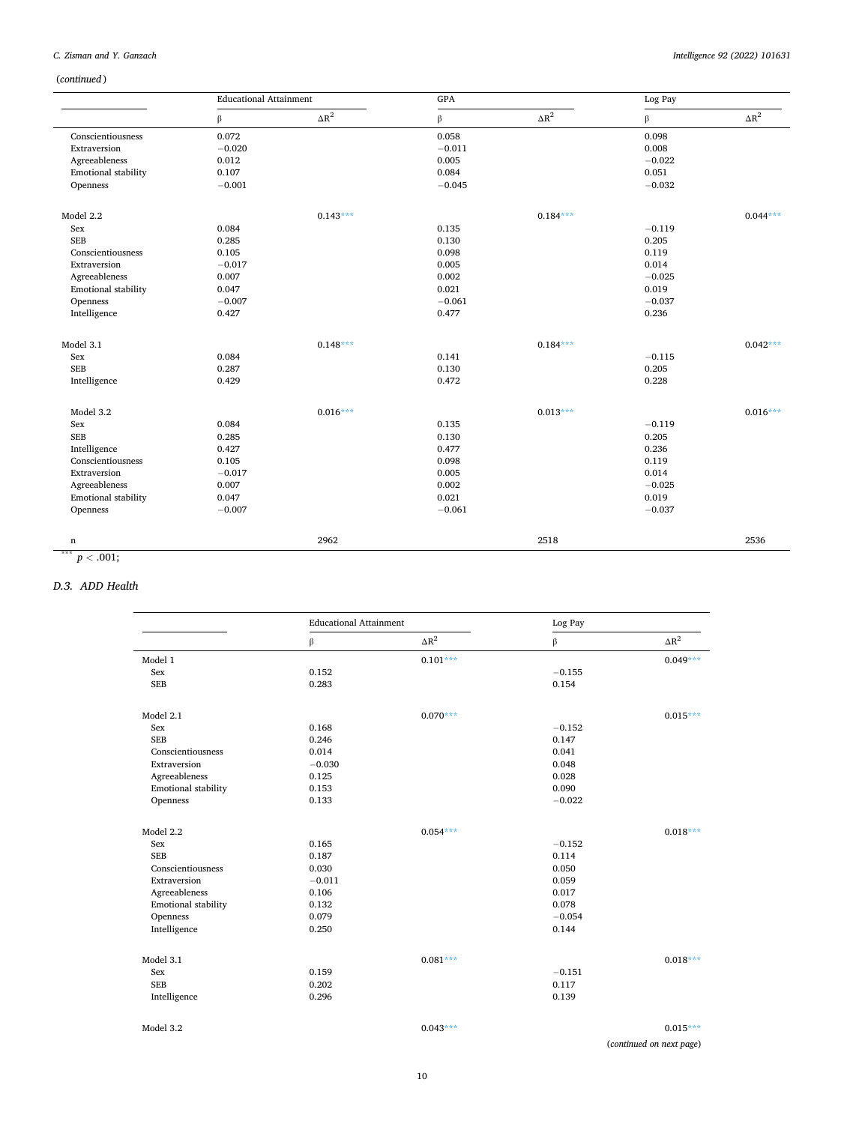# <span id="page-9-0"></span>*C. Zisman and Y. Ganzach*

# (*continued* )

|                     | <b>Educational Attainment</b> |              | GPA      |              | Log Pay  |              |
|---------------------|-------------------------------|--------------|----------|--------------|----------|--------------|
|                     | $\beta$                       | $\Delta R^2$ | β        | $\Delta R^2$ | $\beta$  | $\Delta R^2$ |
| Conscientiousness   | 0.072                         |              | 0.058    |              | 0.098    |              |
| Extraversion        | $-0.020$                      |              | $-0.011$ |              | 0.008    |              |
| Agreeableness       | 0.012                         |              | 0.005    |              | $-0.022$ |              |
| Emotional stability | 0.107                         |              | 0.084    |              | 0.051    |              |
| Openness            | $-0.001$                      |              | $-0.045$ |              | $-0.032$ |              |
| Model 2.2           |                               | $0.143***$   |          | $0.184***$   |          | $0.044***$   |
| Sex                 | 0.084                         |              | 0.135    |              | $-0.119$ |              |
| <b>SEB</b>          | 0.285                         |              | 0.130    |              | 0.205    |              |
| Conscientiousness   | 0.105                         |              | 0.098    |              | 0.119    |              |
| Extraversion        | $-0.017$                      |              | 0.005    |              | 0.014    |              |
| Agreeableness       | 0.007                         |              | 0.002    |              | $-0.025$ |              |
| Emotional stability | 0.047                         |              | 0.021    |              | 0.019    |              |
| Openness            | $-0.007$                      |              | $-0.061$ |              | $-0.037$ |              |
| Intelligence        | 0.427                         |              | 0.477    |              | 0.236    |              |
| Model 3.1           |                               | $0.148***$   |          | $0.184***$   |          | $0.042***$   |
| Sex                 | 0.084                         |              | 0.141    |              | $-0.115$ |              |
| <b>SEB</b>          | 0.287                         |              | 0.130    |              | 0.205    |              |
| Intelligence        | 0.429                         |              | 0.472    |              | 0.228    |              |
| Model 3.2           |                               | $0.016***$   |          | $0.013***$   |          | $0.016***$   |
| Sex                 | 0.084                         |              | 0.135    |              | $-0.119$ |              |
| <b>SEB</b>          | 0.285                         |              | 0.130    |              | 0.205    |              |
| Intelligence        | 0.427                         |              | 0.477    |              | 0.236    |              |
| Conscientiousness   | 0.105                         |              | 0.098    |              | 0.119    |              |
| Extraversion        | $-0.017$                      |              | 0.005    |              | 0.014    |              |
| Agreeableness       | 0.007                         |              | 0.002    |              | $-0.025$ |              |
| Emotional stability | 0.047                         |              | 0.021    |              | 0.019    |              |
| Openness            | $-0.007$                      |              | $-0.061$ |              | $-0.037$ |              |
| n                   |                               | 2962         |          | 2518         |          | 2536         |

# *D.3. ADD Health*

|                     | <b>Educational Attainment</b> |              | Log Pay  |              |
|---------------------|-------------------------------|--------------|----------|--------------|
|                     | β                             | $\Delta R^2$ | β        | $\Delta R^2$ |
| Model 1             |                               | $0.101***$   |          | $0.049***$   |
| Sex                 | 0.152                         |              | $-0.155$ |              |
| <b>SEB</b>          | 0.283                         |              | 0.154    |              |
| Model 2.1           |                               | $0.070***$   |          | $0.015***$   |
| Sex                 | 0.168                         |              | $-0.152$ |              |
| <b>SEB</b>          | 0.246                         |              | 0.147    |              |
| Conscientiousness   | 0.014                         |              | 0.041    |              |
| Extraversion        | $-0.030$                      |              | 0.048    |              |
| Agreeableness       | 0.125                         |              | 0.028    |              |
| Emotional stability | 0.153                         |              | 0.090    |              |
| Openness            | 0.133                         |              | $-0.022$ |              |
| Model 2.2           |                               | $0.054***$   |          | $0.018***$   |
| Sex                 | 0.165                         |              | $-0.152$ |              |
| <b>SEB</b>          | 0.187                         |              | 0.114    |              |
| Conscientiousness   | 0.030                         |              | 0.050    |              |
| Extraversion        | $-0.011$                      |              | 0.059    |              |
| Agreeableness       | 0.106                         |              | 0.017    |              |
| Emotional stability | 0.132                         |              | 0.078    |              |
| Openness            | 0.079                         |              | $-0.054$ |              |
| Intelligence        | 0.250                         |              | 0.144    |              |
| Model 3.1           |                               | $0.081***$   |          | $0.018***$   |
| Sex                 | 0.159                         |              | $-0.151$ |              |
| <b>SEB</b>          | 0.202                         |              | 0.117    |              |
| Intelligence        | 0.296                         |              | 0.139    |              |
| Model 3.2           |                               | $0.043***$   |          | $0.015***$   |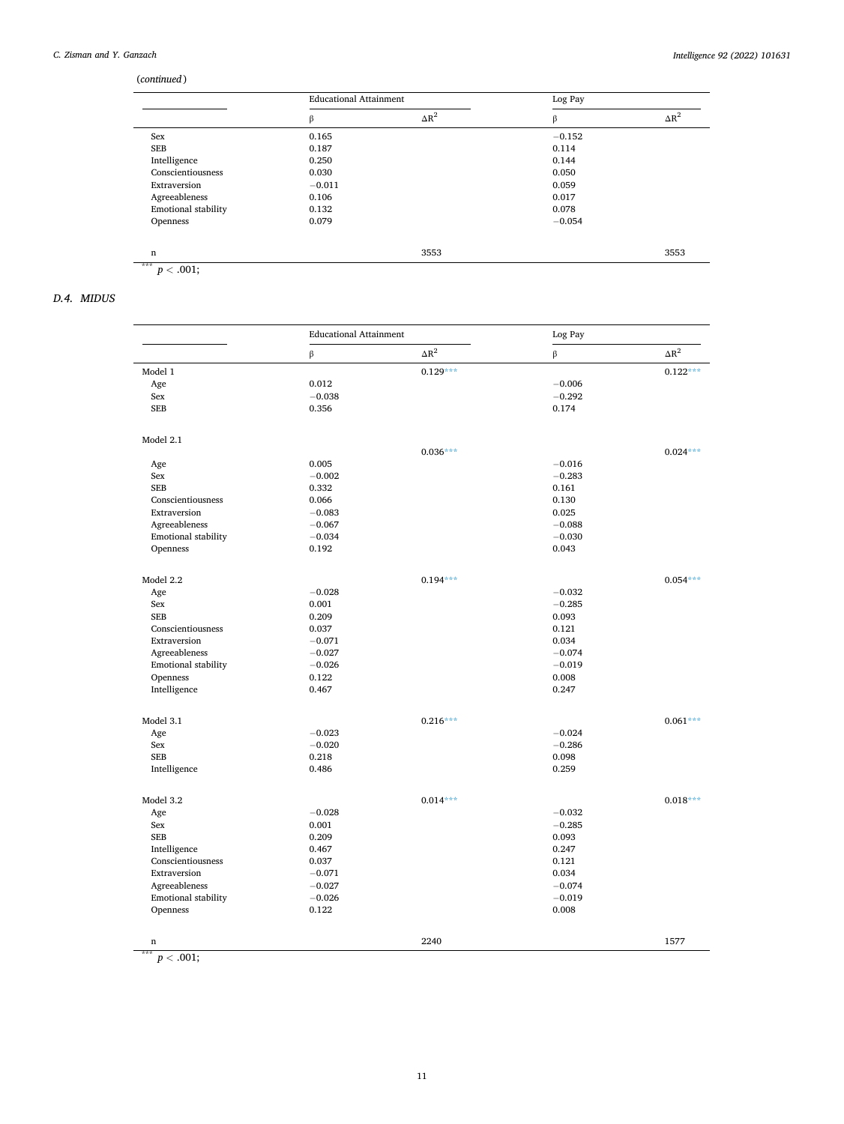# <span id="page-10-0"></span>(*continued* )

|                     | <b>Educational Attainment</b> |              | Log Pay  |              |
|---------------------|-------------------------------|--------------|----------|--------------|
|                     | β                             | $\Delta R^2$ | β        | $\Delta R^2$ |
| Sex                 | 0.165                         |              | $-0.152$ |              |
| SEB                 | 0.187                         |              | 0.114    |              |
| Intelligence        | 0.250                         |              | 0.144    |              |
| Conscientiousness   | 0.030                         |              | 0.050    |              |
| Extraversion        | $-0.011$                      |              | 0.059    |              |
| Agreeableness       | 0.106                         |              | 0.017    |              |
| Emotional stability | 0.132                         |              | 0.078    |              |
| Openness            | 0.079                         |              | $-0.054$ |              |
| n                   |                               | 3553         |          | 3553         |

*D.4. MIDUS* 

|                     | <b>Educational Attainment</b> |              | Log Pay  |              |
|---------------------|-------------------------------|--------------|----------|--------------|
|                     | $\beta$                       | $\Delta R^2$ | β        | $\Delta R^2$ |
| Model 1             |                               | $0.129***$   |          | $0.122***$   |
| Age                 | 0.012                         |              | $-0.006$ |              |
| Sex                 | $-0.038$                      |              | $-0.292$ |              |
| <b>SEB</b>          | 0.356                         |              | 0.174    |              |
| Model 2.1           |                               |              |          |              |
|                     |                               | $0.036***$   |          | $0.024***$   |
| Age                 | 0.005                         |              | $-0.016$ |              |
| Sex                 | $-0.002$                      |              | $-0.283$ |              |
| <b>SEB</b>          | 0.332                         |              | 0.161    |              |
| Conscientiousness   | 0.066                         |              | 0.130    |              |
| Extraversion        | $-0.083$                      |              | 0.025    |              |
| Agreeableness       | $-0.067$                      |              | $-0.088$ |              |
| Emotional stability | $-0.034$                      |              | $-0.030$ |              |
| Openness            | 0.192                         |              | 0.043    |              |
| Model 2.2           |                               | $0.194***$   |          | $0.054***$   |
| Age                 | $-0.028$                      |              | $-0.032$ |              |
| Sex                 | 0.001                         |              | $-0.285$ |              |
| <b>SEB</b>          | 0.209                         |              | 0.093    |              |
| Conscientiousness   | 0.037                         |              | 0.121    |              |
| Extraversion        | $-0.071$                      |              | 0.034    |              |
| Agreeableness       | $-0.027$                      |              | $-0.074$ |              |
| Emotional stability | $-0.026$                      |              | $-0.019$ |              |
| Openness            | 0.122                         |              | 0.008    |              |
| Intelligence        | 0.467                         |              | 0.247    |              |
| Model 3.1           |                               | $0.216***$   |          | $0.061***$   |
| Age                 | $-0.023$                      |              | $-0.024$ |              |
| Sex                 | $-0.020$                      |              | $-0.286$ |              |
| <b>SEB</b>          | 0.218                         |              | 0.098    |              |
| Intelligence        | 0.486                         |              | 0.259    |              |
| Model 3.2           |                               | $0.014***$   |          | $0.018***$   |
| Age                 | $-0.028$                      |              | $-0.032$ |              |
| Sex                 | 0.001                         |              | $-0.285$ |              |
| <b>SEB</b>          | 0.209                         |              | 0.093    |              |
| Intelligence        | 0.467                         |              | 0.247    |              |
| Conscientiousness   | 0.037                         |              | 0.121    |              |
| Extraversion        | $-0.071$                      |              | 0.034    |              |
| Agreeableness       | $-0.027$                      |              | $-0.074$ |              |
| Emotional stability | $-0.026$                      |              | $-0.019$ |              |
| Openness            | 0.122                         |              | 0.008    |              |
| n                   |                               | 2240         |          | 1577         |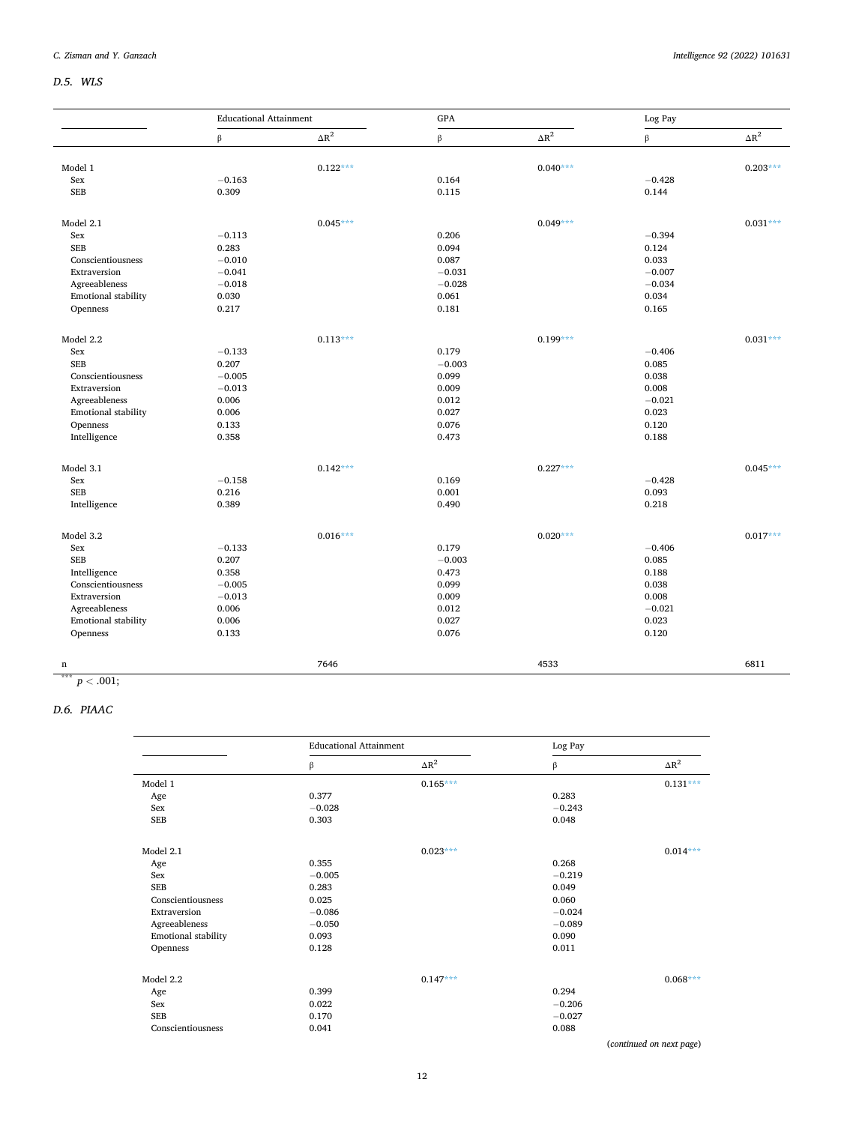# *D.5. WLS*

|                            | <b>Educational Attainment</b> |              | GPA      |              | Log Pay  |              |
|----------------------------|-------------------------------|--------------|----------|--------------|----------|--------------|
|                            | β                             | $\Delta R^2$ | $\beta$  | $\Delta R^2$ | $\beta$  | $\Delta R^2$ |
|                            |                               |              |          |              |          |              |
| Model 1<br>Sex             | $-0.163$                      | $0.122***$   | 0.164    | $0.040***$   | $-0.428$ | $0.203***$   |
| <b>SEB</b>                 | 0.309                         |              | 0.115    |              | 0.144    |              |
|                            |                               |              |          |              |          |              |
| Model 2.1                  |                               | $0.045***$   |          | $0.049***$   |          | $0.031***$   |
| Sex                        | $-0.113$                      |              | 0.206    |              | $-0.394$ |              |
| <b>SEB</b>                 | 0.283                         |              | 0.094    |              | 0.124    |              |
| Conscientiousness          | $-0.010$                      |              | 0.087    |              | 0.033    |              |
| Extraversion               | $-0.041$                      |              | $-0.031$ |              | $-0.007$ |              |
| Agreeableness              | $-0.018$                      |              | $-0.028$ |              | $-0.034$ |              |
| Emotional stability        | 0.030                         |              | 0.061    |              | 0.034    |              |
| Openness                   | 0.217                         |              | 0.181    |              | 0.165    |              |
| Model 2.2                  |                               | $0.113***$   |          | $0.199***$   |          | $0.031***$   |
| Sex                        | $-0.133$                      |              | 0.179    |              | $-0.406$ |              |
| <b>SEB</b>                 | 0.207                         |              | $-0.003$ |              | 0.085    |              |
| Conscientiousness          | $-0.005$                      |              | 0.099    |              | 0.038    |              |
| Extraversion               | $-0.013$                      |              | 0.009    |              | 0.008    |              |
| Agreeableness              | 0.006                         |              | 0.012    |              | $-0.021$ |              |
| <b>Emotional stability</b> | 0.006                         |              | 0.027    |              | 0.023    |              |
| Openness                   | 0.133                         |              | 0.076    |              | 0.120    |              |
| Intelligence               | 0.358                         |              | 0.473    |              | 0.188    |              |
|                            |                               |              |          |              |          |              |
| Model 3.1                  |                               | $0.142***$   |          | $0.227***$   |          | $0.045***$   |
| Sex                        | $-0.158$                      |              | 0.169    |              | $-0.428$ |              |
| <b>SEB</b>                 | 0.216                         |              | 0.001    |              | 0.093    |              |
| Intelligence               | 0.389                         |              | 0.490    |              | 0.218    |              |
| Model 3.2                  |                               | $0.016***$   |          | $0.020***$   |          | $0.017***$   |
| Sex                        | $-0.133$                      |              | 0.179    |              | $-0.406$ |              |
| <b>SEB</b>                 | 0.207                         |              | $-0.003$ |              | 0.085    |              |
| Intelligence               | 0.358                         |              | 0.473    |              | 0.188    |              |
| Conscientiousness          | $-0.005$                      |              | 0.099    |              | 0.038    |              |
| Extraversion               | $-0.013$                      |              | 0.009    |              | 0.008    |              |
| Agreeableness              | 0.006                         |              | 0.012    |              | $-0.021$ |              |
| Emotional stability        | 0.006                         |              | 0.027    |              | 0.023    |              |
| Openness                   | 0.133                         |              | 0.076    |              | 0.120    |              |
|                            |                               | 7646         |          | 4533         |          | 6811         |
| n                          |                               |              |          |              |          |              |

 $p < .001;$ 

# *D.6. PIAAC*

|                     | <b>Educational Attainment</b> |              | Log Pay  |              |
|---------------------|-------------------------------|--------------|----------|--------------|
|                     | β                             | $\Delta R^2$ | β        | $\Delta R^2$ |
| Model 1             |                               | $0.165***$   |          | $0.131***$   |
| Age                 | 0.377                         |              | 0.283    |              |
| Sex                 | $-0.028$                      |              | $-0.243$ |              |
| <b>SEB</b>          | 0.303                         |              | 0.048    |              |
| Model 2.1           |                               | $0.023***$   |          | $0.014***$   |
| Age                 | 0.355                         |              | 0.268    |              |
| Sex                 | $-0.005$                      |              | $-0.219$ |              |
| <b>SEB</b>          | 0.283                         |              | 0.049    |              |
| Conscientiousness   | 0.025                         |              | 0.060    |              |
| Extraversion        | $-0.086$                      |              | $-0.024$ |              |
| Agreeableness       | $-0.050$                      |              | $-0.089$ |              |
| Emotional stability | 0.093                         |              | 0.090    |              |
| Openness            | 0.128                         |              | 0.011    |              |
| Model 2.2           |                               | $0.147***$   |          | $0.068***$   |
| Age                 | 0.399                         |              | 0.294    |              |
| Sex                 | 0.022                         |              | $-0.206$ |              |
| <b>SEB</b>          | 0.170                         |              | $-0.027$ |              |
| Conscientiousness   | 0.041                         |              | 0.088    |              |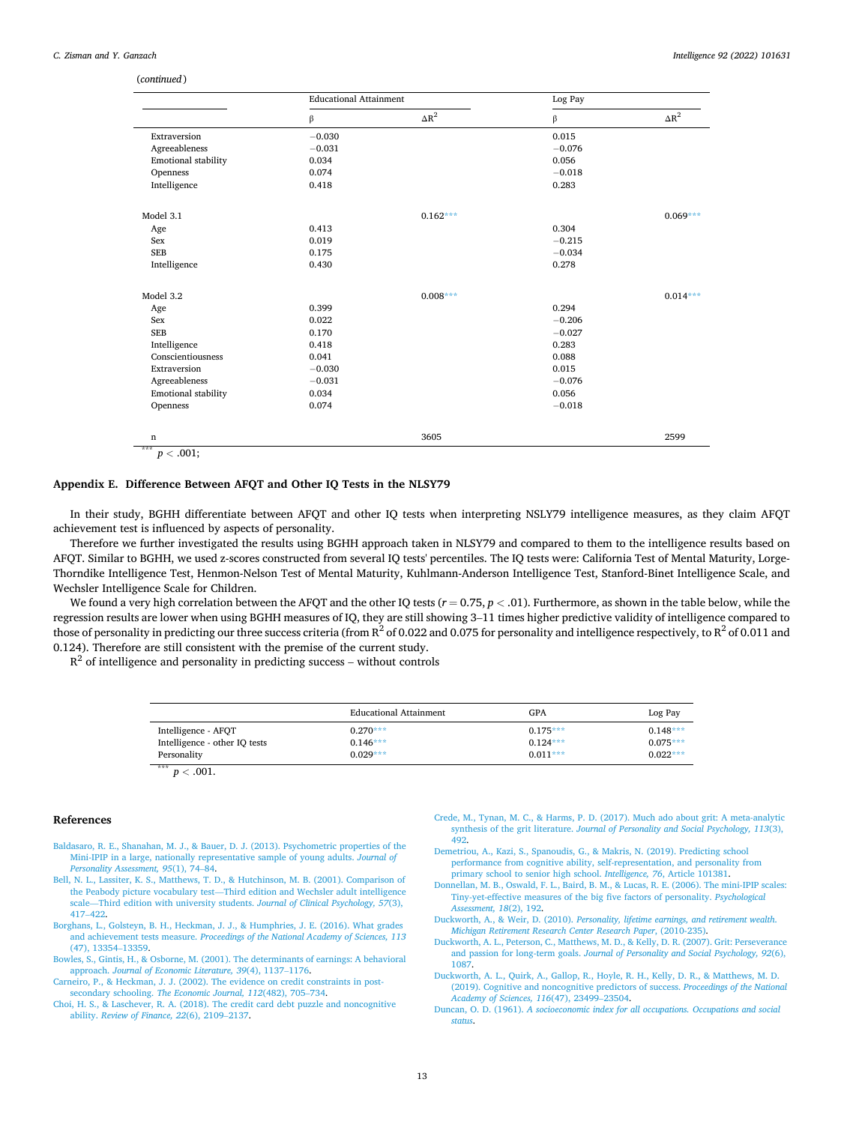#### <span id="page-12-0"></span>(*continued* )

|                     | <b>Educational Attainment</b> |              | Log Pay  |              |
|---------------------|-------------------------------|--------------|----------|--------------|
|                     | β                             | $\Delta R^2$ | β        | $\Delta R^2$ |
| Extraversion        | $-0.030$                      |              | 0.015    |              |
| Agreeableness       | $-0.031$                      |              | $-0.076$ |              |
| Emotional stability | 0.034                         |              | 0.056    |              |
| Openness            | 0.074                         |              | $-0.018$ |              |
| Intelligence        | 0.418                         |              | 0.283    |              |
| Model 3.1           |                               | $0.162***$   |          | $0.069***$   |
| Age                 | 0.413                         |              | 0.304    |              |
| Sex                 | 0.019                         |              | $-0.215$ |              |
| <b>SEB</b>          | 0.175                         |              | $-0.034$ |              |
| Intelligence        | 0.430                         |              | 0.278    |              |
| Model 3.2           |                               | $0.008***$   |          | $0.014***$   |
| Age                 | 0.399                         |              | 0.294    |              |
| Sex                 | 0.022                         |              | $-0.206$ |              |
| <b>SEB</b>          | 0.170                         |              | $-0.027$ |              |
| Intelligence        | 0.418                         |              | 0.283    |              |
| Conscientiousness   | 0.041                         |              | 0.088    |              |
| Extraversion        | $-0.030$                      |              | 0.015    |              |
| Agreeableness       | $-0.031$                      |              | $-0.076$ |              |
| Emotional stability | 0.034                         |              | 0.056    |              |
| Openness            | 0.074                         |              | $-0.018$ |              |
| $\mathbf n$<br>***  |                               | 3605         |          | 2599         |

 $p < .001$ 

# **Appendix E. Difference Between AFQT and Other IQ Tests in the NLSY79**

In their study, BGHH differentiate between AFQT and other IQ tests when interpreting NSLY79 intelligence measures, as they claim AFQT achievement test is influenced by aspects of personality.

Therefore we further investigated the results using BGHH approach taken in NLSY79 and compared to them to the intelligence results based on AFQT. Similar to BGHH, we used z-scores constructed from several IQ tests' percentiles. The IQ tests were: California Test of Mental Maturity, Lorge-Thorndike Intelligence Test, Henmon-Nelson Test of Mental Maturity, Kuhlmann-Anderson Intelligence Test, Stanford-Binet Intelligence Scale, and Wechsler Intelligence Scale for Children.

We found a very high correlation between the AFQT and the other IQ tests  $(r = 0.75, p < .01)$ . Furthermore, as shown in the table below, while the regression results are lower when using BGHH measures of IQ, they are still showing 3–11 times higher predictive validity of intelligence compared to those of personality in predicting our three success criteria (from  $R^2$  of 0.022 and 0.075 for personality and intelligence respectively, to  $R^2$  of 0.011 and 0.124). Therefore are still consistent with the premise of the current study.

 $R^2$  of intelligence and personality in predicting success – without controls

|                               | <b>Educational Attainment</b> | GPA        | Log Pay    |
|-------------------------------|-------------------------------|------------|------------|
| Intelligence - AFQT           | $0.270***$                    | $0.175***$ | $0.148***$ |
| Intelligence - other IQ tests | $0.146***$                    | $0.124***$ | $0.075***$ |
| Personality                   | $0.029***$                    | $0.011***$ | $0.022***$ |

 $x***$  *p* < .001.

# **References**

- [Baldasaro, R. E., Shanahan, M. J., & Bauer, D. J. \(2013\). Psychometric properties of the](http://refhub.elsevier.com/S0160-2896(22)00012-5/rf0005)  [Mini-IPIP in a large, nationally representative sample of young adults.](http://refhub.elsevier.com/S0160-2896(22)00012-5/rf0005) *Journal of [Personality Assessment, 95](http://refhub.elsevier.com/S0160-2896(22)00012-5/rf0005)*(1), 74–84.
- [Bell, N. L., Lassiter, K. S., Matthews, T. D., & Hutchinson, M. B. \(2001\). Comparison of](http://refhub.elsevier.com/S0160-2896(22)00012-5/rf0010) the Peabody picture vocabulary test—[Third edition and Wechsler adult intelligence](http://refhub.elsevier.com/S0160-2896(22)00012-5/rf0010)  scale—[Third edition with university students.](http://refhub.elsevier.com/S0160-2896(22)00012-5/rf0010) *Journal of Clinical Psychology, 57*(3), 417–[422](http://refhub.elsevier.com/S0160-2896(22)00012-5/rf0010).
- [Borghans, L., Golsteyn, B. H., Heckman, J. J., & Humphries, J. E. \(2016\). What grades](http://refhub.elsevier.com/S0160-2896(22)00012-5/rf0015) and achievement tests measure. *[Proceedings of the National Academy of Sciences, 113](http://refhub.elsevier.com/S0160-2896(22)00012-5/rf0015)*  [\(47\), 13354](http://refhub.elsevier.com/S0160-2896(22)00012-5/rf0015)–13359.
- [Bowles, S., Gintis, H., & Osborne, M. \(2001\). The determinants of earnings: A behavioral](http://refhub.elsevier.com/S0160-2896(22)00012-5/rf0020)  approach. *[Journal of Economic Literature, 39](http://refhub.elsevier.com/S0160-2896(22)00012-5/rf0020)*(4), 1137–1176.

[Carneiro, P., & Heckman, J. J. \(2002\). The evidence on credit constraints in post](http://refhub.elsevier.com/S0160-2896(22)00012-5/rf0025)secondary schooling. *[The Economic Journal, 112](http://refhub.elsevier.com/S0160-2896(22)00012-5/rf0025)*(482), 705–734.

[Choi, H. S., & Laschever, R. A. \(2018\). The credit card debt puzzle and noncognitive](http://refhub.elsevier.com/S0160-2896(22)00012-5/rf0030) ability. *[Review of Finance, 22](http://refhub.elsevier.com/S0160-2896(22)00012-5/rf0030)*(6), 2109–2137.

- [Crede, M., Tynan, M. C., & Harms, P. D. \(2017\). Much ado about grit: A meta-analytic](http://refhub.elsevier.com/S0160-2896(22)00012-5/rf0035) synthesis of the grit literature. *[Journal of Personality and Social Psychology, 113](http://refhub.elsevier.com/S0160-2896(22)00012-5/rf0035)*(3), [492](http://refhub.elsevier.com/S0160-2896(22)00012-5/rf0035).
- [Demetriou, A., Kazi, S., Spanoudis, G., & Makris, N. \(2019\). Predicting school](http://refhub.elsevier.com/S0160-2896(22)00012-5/rf0040)  [performance from cognitive ability, self-representation, and personality from](http://refhub.elsevier.com/S0160-2896(22)00012-5/rf0040)  [primary school to senior high school.](http://refhub.elsevier.com/S0160-2896(22)00012-5/rf0040) *Intelligence, 76*, Article 101381.
- [Donnellan, M. B., Oswald, F. L., Baird, B. M., & Lucas, R. E. \(2006\). The mini-IPIP scales:](http://refhub.elsevier.com/S0160-2896(22)00012-5/rf0045)  [Tiny-yet-effective measures of the big five factors of personality.](http://refhub.elsevier.com/S0160-2896(22)00012-5/rf0045) *Psychological [Assessment, 18](http://refhub.elsevier.com/S0160-2896(22)00012-5/rf0045)*(2), 192.
- Duckworth, A., & Weir, D. (2010). *[Personality, lifetime earnings, and retirement wealth](http://refhub.elsevier.com/S0160-2896(22)00012-5/rf0050)*. *[Michigan Retirement Research Center Research Paper](http://refhub.elsevier.com/S0160-2896(22)00012-5/rf0050)*, (2010-235).
- [Duckworth, A. L., Peterson, C., Matthews, M. D., & Kelly, D. R. \(2007\). Grit: Perseverance](http://refhub.elsevier.com/S0160-2896(22)00012-5/rf0055)  and passion for long-term goals. *[Journal of Personality and Social Psychology, 92](http://refhub.elsevier.com/S0160-2896(22)00012-5/rf0055)*(6), [1087.](http://refhub.elsevier.com/S0160-2896(22)00012-5/rf0055)
- [Duckworth, A. L., Quirk, A., Gallop, R., Hoyle, R. H., Kelly, D. R., & Matthews, M. D.](http://refhub.elsevier.com/S0160-2896(22)00012-5/rf0060) [\(2019\). Cognitive and noncognitive predictors of success.](http://refhub.elsevier.com/S0160-2896(22)00012-5/rf0060) *Proceedings of the National [Academy of Sciences, 116](http://refhub.elsevier.com/S0160-2896(22)00012-5/rf0060)*(47), 23499–23504.
- Duncan, O. D. (1961). *[A socioeconomic index for all occupations. Occupations and social](http://refhub.elsevier.com/S0160-2896(22)00012-5/rf0065)  [status](http://refhub.elsevier.com/S0160-2896(22)00012-5/rf0065)*.